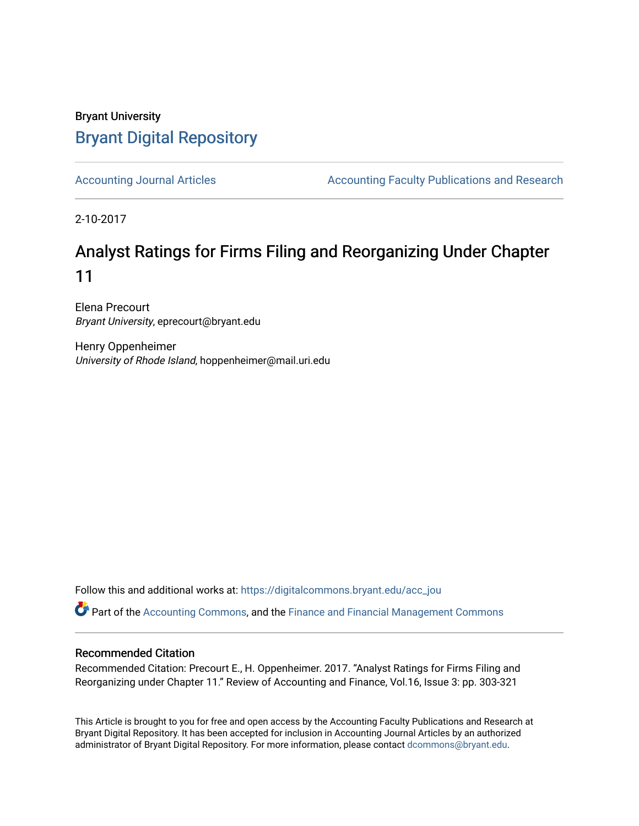## Bryant University [Bryant Digital Repository](https://digitalcommons.bryant.edu/)

[Accounting Journal Articles](https://digitalcommons.bryant.edu/acc_jou) **Accounting Faculty Publications and Research** Accounting Faculty Publications and Research

2-10-2017

# Analyst Ratings for Firms Filing and Reorganizing Under Chapter 11

Elena Precourt Bryant University, eprecourt@bryant.edu

Henry Oppenheimer University of Rhode Island, hoppenheimer@mail.uri.edu

Follow this and additional works at: [https://digitalcommons.bryant.edu/acc\\_jou](https://digitalcommons.bryant.edu/acc_jou?utm_source=digitalcommons.bryant.edu%2Facc_jou%2F115&utm_medium=PDF&utm_campaign=PDFCoverPages)

Part of the [Accounting Commons](http://network.bepress.com/hgg/discipline/625?utm_source=digitalcommons.bryant.edu%2Facc_jou%2F115&utm_medium=PDF&utm_campaign=PDFCoverPages), and the [Finance and Financial Management Commons](http://network.bepress.com/hgg/discipline/631?utm_source=digitalcommons.bryant.edu%2Facc_jou%2F115&utm_medium=PDF&utm_campaign=PDFCoverPages) 

## Recommended Citation

Recommended Citation: Precourt E., H. Oppenheimer. 2017. "Analyst Ratings for Firms Filing and Reorganizing under Chapter 11." Review of Accounting and Finance, Vol.16, Issue 3: pp. 303-321

This Article is brought to you for free and open access by the Accounting Faculty Publications and Research at Bryant Digital Repository. It has been accepted for inclusion in Accounting Journal Articles by an authorized administrator of Bryant Digital Repository. For more information, please contact [dcommons@bryant.edu](mailto:dcommons@bryant.edu).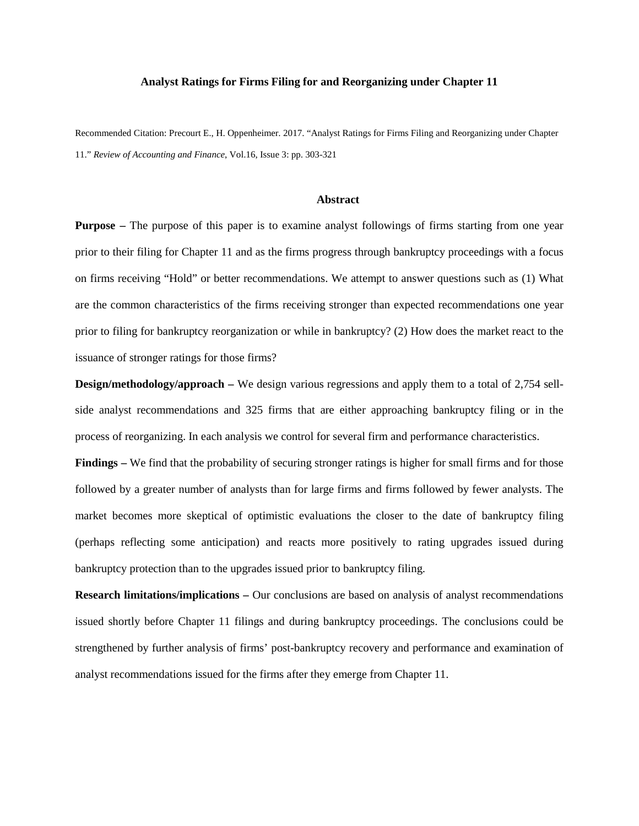#### **Analyst Ratings for Firms Filing for and Reorganizing under Chapter 11**

Recommended Citation: Precourt E., H. Oppenheimer. 2017. "Analyst Ratings for Firms Filing and Reorganizing under Chapter 11." *Review of Accounting and Finance*, Vol.16, Issue 3: pp. 303-321

#### **Abstract**

**Purpose** – The purpose of this paper is to examine analyst followings of firms starting from one year prior to their filing for Chapter 11 and as the firms progress through bankruptcy proceedings with a focus on firms receiving "Hold" or better recommendations. We attempt to answer questions such as (1) What are the common characteristics of the firms receiving stronger than expected recommendations one year prior to filing for bankruptcy reorganization or while in bankruptcy? (2) How does the market react to the issuance of stronger ratings for those firms?

**Design/methodology/approach –** We design various regressions and apply them to a total of 2,754 sellside analyst recommendations and 325 firms that are either approaching bankruptcy filing or in the process of reorganizing. In each analysis we control for several firm and performance characteristics.

**Findings –** We find that the probability of securing stronger ratings is higher for small firms and for those followed by a greater number of analysts than for large firms and firms followed by fewer analysts. The market becomes more skeptical of optimistic evaluations the closer to the date of bankruptcy filing (perhaps reflecting some anticipation) and reacts more positively to rating upgrades issued during bankruptcy protection than to the upgrades issued prior to bankruptcy filing.

**Research limitations/implications –** Our conclusions are based on analysis of analyst recommendations issued shortly before Chapter 11 filings and during bankruptcy proceedings. The conclusions could be strengthened by further analysis of firms' post-bankruptcy recovery and performance and examination of analyst recommendations issued for the firms after they emerge from Chapter 11.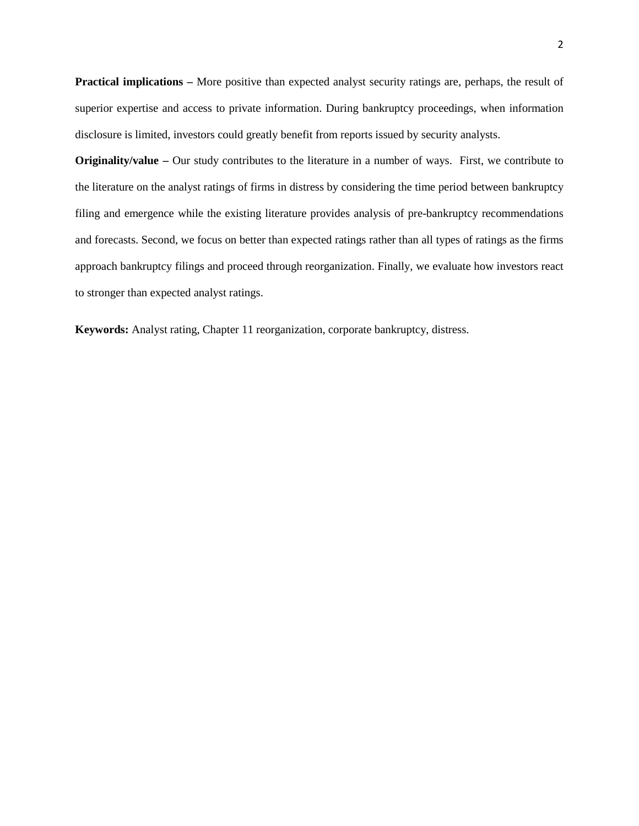**Practical implications –** More positive than expected analyst security ratings are, perhaps, the result of superior expertise and access to private information. During bankruptcy proceedings, when information disclosure is limited, investors could greatly benefit from reports issued by security analysts.

**Originality/value –** Our study contributes to the literature in a number of ways. First, we contribute to the literature on the analyst ratings of firms in distress by considering the time period between bankruptcy filing and emergence while the existing literature provides analysis of pre-bankruptcy recommendations and forecasts. Second, we focus on better than expected ratings rather than all types of ratings as the firms approach bankruptcy filings and proceed through reorganization. Finally, we evaluate how investors react to stronger than expected analyst ratings.

**Keywords:** Analyst rating, Chapter 11 reorganization, corporate bankruptcy, distress.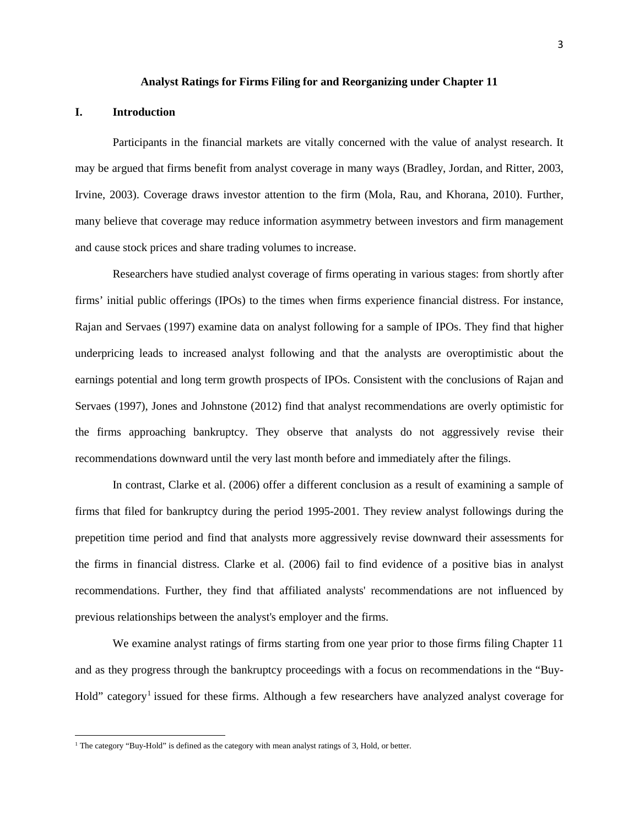#### **Analyst Ratings for Firms Filing for and Reorganizing under Chapter 11**

#### **I. Introduction**

Participants in the financial markets are vitally concerned with the value of analyst research. It may be argued that firms benefit from analyst coverage in many ways (Bradley, Jordan, and Ritter, 2003, Irvine, 2003). Coverage draws investor attention to the firm (Mola, Rau, and Khorana, 2010). Further, many believe that coverage may reduce information asymmetry between investors and firm management and cause stock prices and share trading volumes to increase.

Researchers have studied analyst coverage of firms operating in various stages: from shortly after firms' initial public offerings (IPOs) to the times when firms experience financial distress. For instance, Rajan and Servaes (1997) examine data on analyst following for a sample of IPOs. They find that higher underpricing leads to increased analyst following and that the analysts are overoptimistic about the earnings potential and long term growth prospects of IPOs. Consistent with the conclusions of Rajan and Servaes (1997), Jones and Johnstone (2012) find that analyst recommendations are overly optimistic for the firms approaching bankruptcy. They observe that analysts do not aggressively revise their recommendations downward until the very last month before and immediately after the filings.

In contrast, Clarke et al. (2006) offer a different conclusion as a result of examining a sample of firms that filed for bankruptcy during the period 1995-2001. They review analyst followings during the prepetition time period and find that analysts more aggressively revise downward their assessments for the firms in financial distress. Clarke et al. (2006) fail to find evidence of a positive bias in analyst recommendations. Further, they find that affiliated analysts' recommendations are not influenced by previous relationships between the analyst's employer and the firms.

We examine analyst ratings of firms starting from one year prior to those firms filing Chapter 11 and as they progress through the bankruptcy proceedings with a focus on recommendations in the "Buy-Hold" category<sup>[1](#page-3-0)</sup> issued for these firms. Although a few researchers have analyzed analyst coverage for

<span id="page-3-0"></span><sup>&</sup>lt;sup>1</sup> The category "Buy-Hold" is defined as the category with mean analyst ratings of 3, Hold, or better.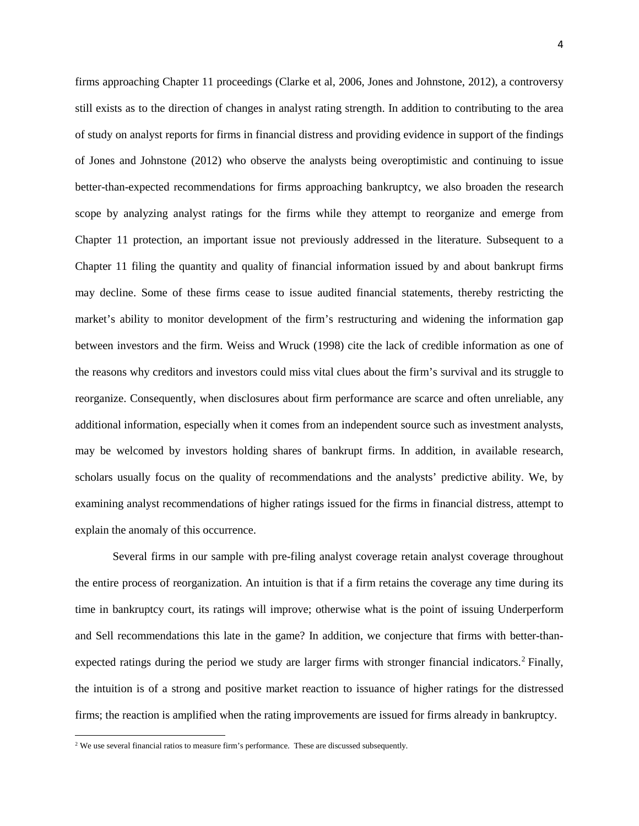firms approaching Chapter 11 proceedings (Clarke et al, 2006, Jones and Johnstone, 2012), a controversy still exists as to the direction of changes in analyst rating strength. In addition to contributing to the area of study on analyst reports for firms in financial distress and providing evidence in support of the findings of Jones and Johnstone (2012) who observe the analysts being overoptimistic and continuing to issue better-than-expected recommendations for firms approaching bankruptcy, we also broaden the research scope by analyzing analyst ratings for the firms while they attempt to reorganize and emerge from Chapter 11 protection, an important issue not previously addressed in the literature. Subsequent to a Chapter 11 filing the quantity and quality of financial information issued by and about bankrupt firms may decline. Some of these firms cease to issue audited financial statements, thereby restricting the market's ability to monitor development of the firm's restructuring and widening the information gap between investors and the firm. Weiss and Wruck (1998) cite the lack of credible information as one of the reasons why creditors and investors could miss vital clues about the firm's survival and its struggle to reorganize. Consequently, when disclosures about firm performance are scarce and often unreliable, any additional information, especially when it comes from an independent source such as investment analysts, may be welcomed by investors holding shares of bankrupt firms. In addition, in available research, scholars usually focus on the quality of recommendations and the analysts' predictive ability. We, by examining analyst recommendations of higher ratings issued for the firms in financial distress, attempt to explain the anomaly of this occurrence.

Several firms in our sample with pre-filing analyst coverage retain analyst coverage throughout the entire process of reorganization. An intuition is that if a firm retains the coverage any time during its time in bankruptcy court, its ratings will improve; otherwise what is the point of issuing Underperform and Sell recommendations this late in the game? In addition, we conjecture that firms with better-than-expected ratings during the period we study are larger firms with stronger financial indicators.<sup>[2](#page-4-0)</sup> Finally, the intuition is of a strong and positive market reaction to issuance of higher ratings for the distressed firms; the reaction is amplified when the rating improvements are issued for firms already in bankruptcy.

<span id="page-4-0"></span><sup>&</sup>lt;sup>2</sup> We use several financial ratios to measure firm's performance. These are discussed subsequently.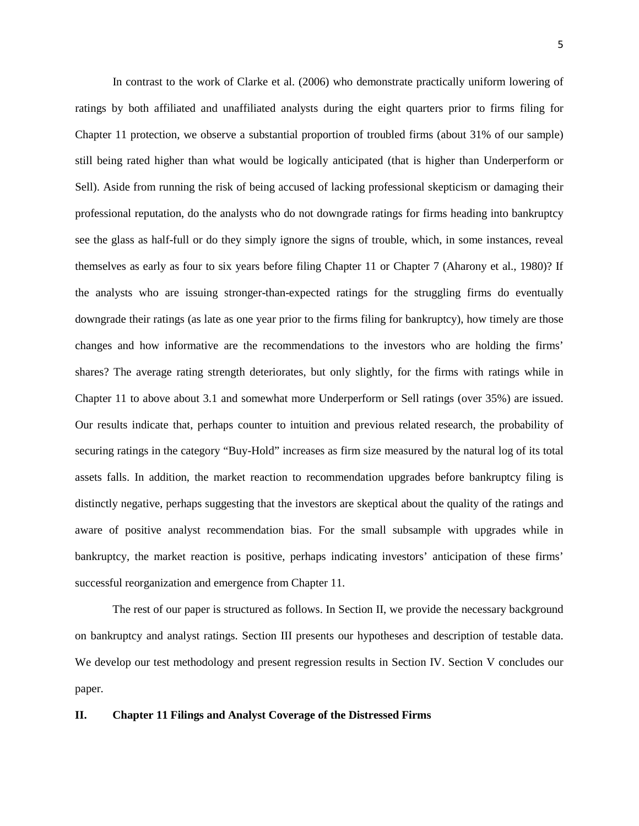In contrast to the work of Clarke et al. (2006) who demonstrate practically uniform lowering of ratings by both affiliated and unaffiliated analysts during the eight quarters prior to firms filing for Chapter 11 protection, we observe a substantial proportion of troubled firms (about 31% of our sample) still being rated higher than what would be logically anticipated (that is higher than Underperform or Sell). Aside from running the risk of being accused of lacking professional skepticism or damaging their professional reputation, do the analysts who do not downgrade ratings for firms heading into bankruptcy see the glass as half-full or do they simply ignore the signs of trouble, which, in some instances, reveal themselves as early as four to six years before filing Chapter 11 or Chapter 7 (Aharony et al., 1980)? If the analysts who are issuing stronger-than-expected ratings for the struggling firms do eventually downgrade their ratings (as late as one year prior to the firms filing for bankruptcy), how timely are those changes and how informative are the recommendations to the investors who are holding the firms' shares? The average rating strength deteriorates, but only slightly, for the firms with ratings while in Chapter 11 to above about 3.1 and somewhat more Underperform or Sell ratings (over 35%) are issued. Our results indicate that, perhaps counter to intuition and previous related research, the probability of securing ratings in the category "Buy-Hold" increases as firm size measured by the natural log of its total assets falls. In addition, the market reaction to recommendation upgrades before bankruptcy filing is distinctly negative, perhaps suggesting that the investors are skeptical about the quality of the ratings and aware of positive analyst recommendation bias. For the small subsample with upgrades while in bankruptcy, the market reaction is positive, perhaps indicating investors' anticipation of these firms' successful reorganization and emergence from Chapter 11.

The rest of our paper is structured as follows. In Section II, we provide the necessary background on bankruptcy and analyst ratings. Section III presents our hypotheses and description of testable data. We develop our test methodology and present regression results in Section IV. Section V concludes our paper.

#### **II. Chapter 11 Filings and Analyst Coverage of the Distressed Firms**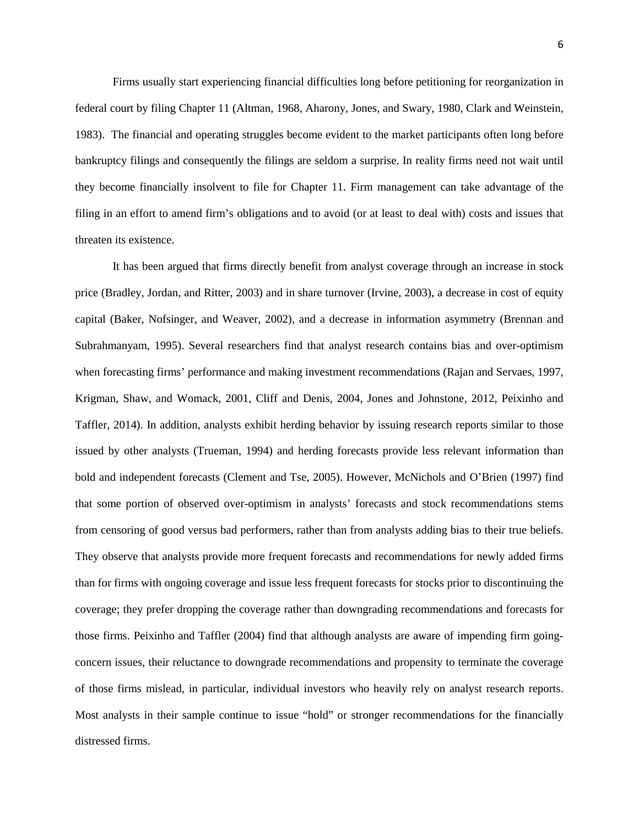Firms usually start experiencing financial difficulties long before petitioning for reorganization in federal court by filing Chapter 11 (Altman, 1968, Aharony, Jones, and Swary, 1980, Clark and Weinstein, 1983). The financial and operating struggles become evident to the market participants often long before bankruptcy filings and consequently the filings are seldom a surprise. In reality firms need not wait until they become financially insolvent to file for Chapter 11. Firm management can take advantage of the filing in an effort to amend firm's obligations and to avoid (or at least to deal with) costs and issues that threaten its existence.

It has been argued that firms directly benefit from analyst coverage through an increase in stock price (Bradley, Jordan, and Ritter, 2003) and in share turnover (Irvine, 2003), a decrease in cost of equity capital (Baker, Nofsinger, and Weaver, 2002), and a decrease in information asymmetry (Brennan and Subrahmanyam, 1995). Several researchers find that analyst research contains bias and over-optimism when forecasting firms' performance and making investment recommendations (Rajan and Servaes, 1997, Krigman, Shaw, and Womack, 2001, Cliff and Denis, 2004, Jones and Johnstone, 2012, Peixinho and Taffler, 2014). In addition, analysts exhibit herding behavior by issuing research reports similar to those issued by other analysts (Trueman, 1994) and herding forecasts provide less relevant information than bold and independent forecasts (Clement and Tse, 2005). However, McNichols and O'Brien (1997) find that some portion of observed over-optimism in analysts' forecasts and stock recommendations stems from censoring of good versus bad performers, rather than from analysts adding bias to their true beliefs. They observe that analysts provide more frequent forecasts and recommendations for newly added firms than for firms with ongoing coverage and issue less frequent forecasts for stocks prior to discontinuing the coverage; they prefer dropping the coverage rather than downgrading recommendations and forecasts for those firms. Peixinho and Taffler (2004) find that although analysts are aware of impending firm goingconcern issues, their reluctance to downgrade recommendations and propensity to terminate the coverage of those firms mislead, in particular, individual investors who heavily rely on analyst research reports. Most analysts in their sample continue to issue "hold" or stronger recommendations for the financially distressed firms.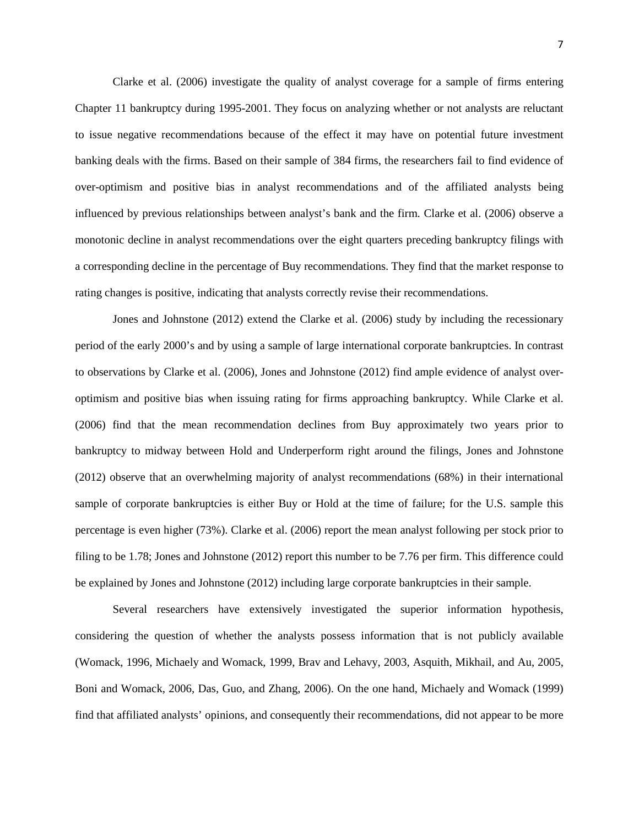Clarke et al. (2006) investigate the quality of analyst coverage for a sample of firms entering Chapter 11 bankruptcy during 1995-2001. They focus on analyzing whether or not analysts are reluctant to issue negative recommendations because of the effect it may have on potential future investment banking deals with the firms. Based on their sample of 384 firms, the researchers fail to find evidence of over-optimism and positive bias in analyst recommendations and of the affiliated analysts being influenced by previous relationships between analyst's bank and the firm. Clarke et al. (2006) observe a monotonic decline in analyst recommendations over the eight quarters preceding bankruptcy filings with a corresponding decline in the percentage of Buy recommendations. They find that the market response to rating changes is positive, indicating that analysts correctly revise their recommendations.

Jones and Johnstone (2012) extend the Clarke et al. (2006) study by including the recessionary period of the early 2000's and by using a sample of large international corporate bankruptcies. In contrast to observations by Clarke et al. (2006), Jones and Johnstone (2012) find ample evidence of analyst overoptimism and positive bias when issuing rating for firms approaching bankruptcy. While Clarke et al. (2006) find that the mean recommendation declines from Buy approximately two years prior to bankruptcy to midway between Hold and Underperform right around the filings, Jones and Johnstone (2012) observe that an overwhelming majority of analyst recommendations (68%) in their international sample of corporate bankruptcies is either Buy or Hold at the time of failure; for the U.S. sample this percentage is even higher (73%). Clarke et al. (2006) report the mean analyst following per stock prior to filing to be 1.78; Jones and Johnstone (2012) report this number to be 7.76 per firm. This difference could be explained by Jones and Johnstone (2012) including large corporate bankruptcies in their sample.

Several researchers have extensively investigated the superior information hypothesis, considering the question of whether the analysts possess information that is not publicly available (Womack, 1996, Michaely and Womack, 1999, Brav and Lehavy, 2003, Asquith, Mikhail, and Au, 2005, Boni and Womack, 2006, Das, Guo, and Zhang, 2006). On the one hand, Michaely and Womack (1999) find that affiliated analysts' opinions, and consequently their recommendations, did not appear to be more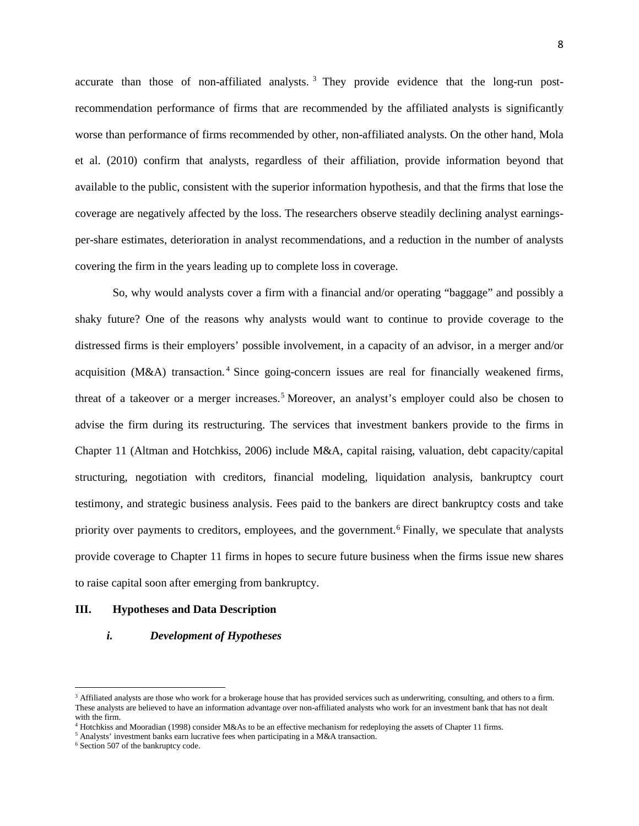accurate than those of non-affiliated analysts.<sup>[3](#page-8-0)</sup> They provide evidence that the long-run postrecommendation performance of firms that are recommended by the affiliated analysts is significantly worse than performance of firms recommended by other, non-affiliated analysts. On the other hand, Mola et al. (2010) confirm that analysts, regardless of their affiliation, provide information beyond that available to the public, consistent with the superior information hypothesis, and that the firms that lose the coverage are negatively affected by the loss. The researchers observe steadily declining analyst earningsper-share estimates, deterioration in analyst recommendations, and a reduction in the number of analysts covering the firm in the years leading up to complete loss in coverage.

So, why would analysts cover a firm with a financial and/or operating "baggage" and possibly a shaky future? One of the reasons why analysts would want to continue to provide coverage to the distressed firms is their employers' possible involvement, in a capacity of an advisor, in a merger and/or acquisition ( $M&A$ ) transaction.<sup>[4](#page-8-1)</sup> Since going-concern issues are real for financially weakened firms, threat of a takeover or a merger increases. [5](#page-8-2) Moreover, an analyst's employer could also be chosen to advise the firm during its restructuring. The services that investment bankers provide to the firms in Chapter 11 (Altman and Hotchkiss, 2006) include M&A, capital raising, valuation, debt capacity/capital structuring, negotiation with creditors, financial modeling, liquidation analysis, bankruptcy court testimony, and strategic business analysis. Fees paid to the bankers are direct bankruptcy costs and take priority over payments to creditors, employees, and the government.<sup>[6](#page-8-3)</sup> Finally, we speculate that analysts provide coverage to Chapter 11 firms in hopes to secure future business when the firms issue new shares to raise capital soon after emerging from bankruptcy.

#### **III. Hypotheses and Data Description**

#### *i. Development of Hypotheses*

l

<span id="page-8-0"></span><sup>&</sup>lt;sup>3</sup> Affiliated analysts are those who work for a brokerage house that has provided services such as underwriting, consulting, and others to a firm. These analysts are believed to have an information advantage over non-affiliated analysts who work for an investment bank that has not dealt with the firm.

 $4$  Hotchkiss and Mooradian (1998) consider M&As to be an effective mechanism for redeploying the assets of Chapter 11 firms.

<span id="page-8-2"></span><span id="page-8-1"></span> $5$  Analysts' investment banks earn lucrative fees when participating in a M&A transaction.  $6$  Section 507 of the bankruptcy code.

<span id="page-8-3"></span>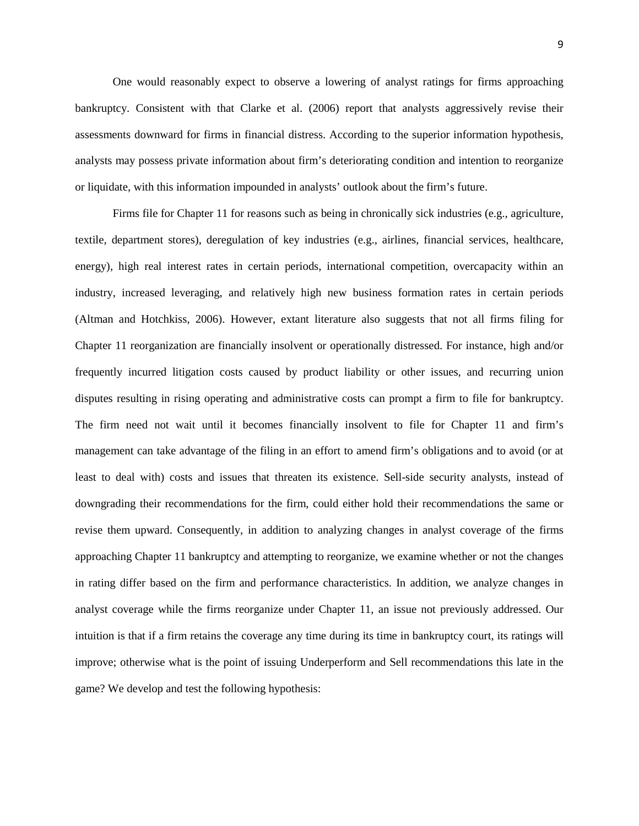One would reasonably expect to observe a lowering of analyst ratings for firms approaching bankruptcy. Consistent with that Clarke et al. (2006) report that analysts aggressively revise their assessments downward for firms in financial distress. According to the superior information hypothesis, analysts may possess private information about firm's deteriorating condition and intention to reorganize or liquidate, with this information impounded in analysts' outlook about the firm's future.

Firms file for Chapter 11 for reasons such as being in chronically sick industries (e.g., agriculture, textile, department stores), deregulation of key industries (e.g., airlines, financial services, healthcare, energy), high real interest rates in certain periods, international competition, overcapacity within an industry, increased leveraging, and relatively high new business formation rates in certain periods (Altman and Hotchkiss, 2006). However, extant literature also suggests that not all firms filing for Chapter 11 reorganization are financially insolvent or operationally distressed. For instance, high and/or frequently incurred litigation costs caused by product liability or other issues, and recurring union disputes resulting in rising operating and administrative costs can prompt a firm to file for bankruptcy. The firm need not wait until it becomes financially insolvent to file for Chapter 11 and firm's management can take advantage of the filing in an effort to amend firm's obligations and to avoid (or at least to deal with) costs and issues that threaten its existence. Sell-side security analysts, instead of downgrading their recommendations for the firm, could either hold their recommendations the same or revise them upward. Consequently, in addition to analyzing changes in analyst coverage of the firms approaching Chapter 11 bankruptcy and attempting to reorganize, we examine whether or not the changes in rating differ based on the firm and performance characteristics. In addition, we analyze changes in analyst coverage while the firms reorganize under Chapter 11, an issue not previously addressed. Our intuition is that if a firm retains the coverage any time during its time in bankruptcy court, its ratings will improve; otherwise what is the point of issuing Underperform and Sell recommendations this late in the game? We develop and test the following hypothesis: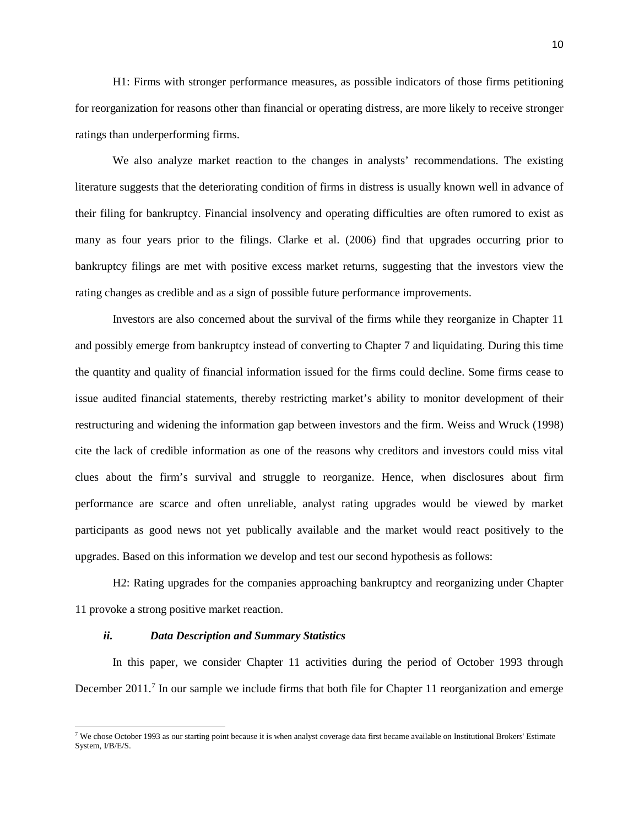H1: Firms with stronger performance measures, as possible indicators of those firms petitioning for reorganization for reasons other than financial or operating distress, are more likely to receive stronger ratings than underperforming firms.

We also analyze market reaction to the changes in analysts' recommendations. The existing literature suggests that the deteriorating condition of firms in distress is usually known well in advance of their filing for bankruptcy. Financial insolvency and operating difficulties are often rumored to exist as many as four years prior to the filings. Clarke et al. (2006) find that upgrades occurring prior to bankruptcy filings are met with positive excess market returns, suggesting that the investors view the rating changes as credible and as a sign of possible future performance improvements.

Investors are also concerned about the survival of the firms while they reorganize in Chapter 11 and possibly emerge from bankruptcy instead of converting to Chapter 7 and liquidating. During this time the quantity and quality of financial information issued for the firms could decline. Some firms cease to issue audited financial statements, thereby restricting market's ability to monitor development of their restructuring and widening the information gap between investors and the firm. Weiss and Wruck (1998) cite the lack of credible information as one of the reasons why creditors and investors could miss vital clues about the firm's survival and struggle to reorganize. Hence, when disclosures about firm performance are scarce and often unreliable, analyst rating upgrades would be viewed by market participants as good news not yet publically available and the market would react positively to the upgrades. Based on this information we develop and test our second hypothesis as follows:

H2: Rating upgrades for the companies approaching bankruptcy and reorganizing under Chapter 11 provoke a strong positive market reaction.

## *ii. Data Description and Summary Statistics*

 $\overline{\phantom{a}}$ 

In this paper, we consider Chapter 11 activities during the period of October 1993 through December 2011.<sup>[7](#page-10-0)</sup> In our sample we include firms that both file for Chapter 11 reorganization and emerge

<span id="page-10-0"></span><sup>&</sup>lt;sup>7</sup> We chose October 1993 as our starting point because it is when analyst coverage data first became available on Institutional Brokers' Estimate System, I/B/E/S.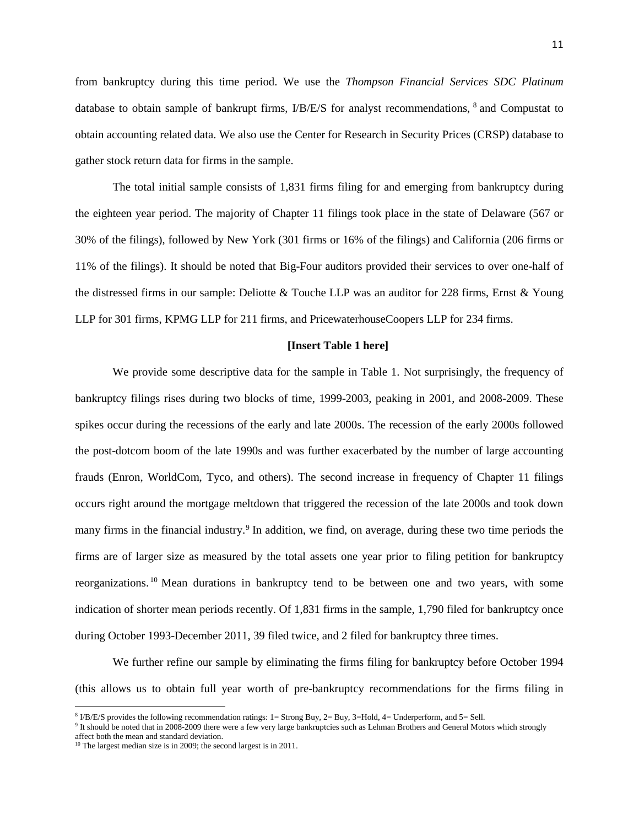from bankruptcy during this time period. We use the *Thompson Financial Services SDC Platinum* database to obtain sample of bankrupt firms, I/B/E/S for analyst recommendations, [8](#page-11-0) and Compustat to obtain accounting related data. We also use the Center for Research in Security Prices (CRSP) database to gather stock return data for firms in the sample.

The total initial sample consists of 1,831 firms filing for and emerging from bankruptcy during the eighteen year period. The majority of Chapter 11 filings took place in the state of Delaware (567 or 30% of the filings), followed by New York (301 firms or 16% of the filings) and California (206 firms or 11% of the filings). It should be noted that Big-Four auditors provided their services to over one-half of the distressed firms in our sample: Deliotte & Touche LLP was an auditor for 228 firms, Ernst & Young LLP for 301 firms, KPMG LLP for 211 firms, and PricewaterhouseCoopers LLP for 234 firms.

#### **[Insert Table 1 here]**

We provide some descriptive data for the sample in Table 1. Not surprisingly, the frequency of bankruptcy filings rises during two blocks of time, 1999-2003, peaking in 2001, and 2008-2009. These spikes occur during the recessions of the early and late 2000s. The recession of the early 2000s followed the post-dotcom boom of the late 1990s and was further exacerbated by the number of large accounting frauds (Enron, WorldCom, Tyco, and others). The second increase in frequency of Chapter 11 filings occurs right around the mortgage meltdown that triggered the recession of the late 2000s and took down many firms in the financial industry.<sup>[9](#page-11-1)</sup> In addition, we find, on average, during these two time periods the firms are of larger size as measured by the total assets one year prior to filing petition for bankruptcy reorganizations. [10](#page-11-2) Mean durations in bankruptcy tend to be between one and two years, with some indication of shorter mean periods recently. Of 1,831 firms in the sample, 1,790 filed for bankruptcy once during October 1993-December 2011, 39 filed twice, and 2 filed for bankruptcy three times.

We further refine our sample by eliminating the firms filing for bankruptcy before October 1994 (this allows us to obtain full year worth of pre-bankruptcy recommendations for the firms filing in

l

<span id="page-11-0"></span> $8 \text{ IB/E/S}$  provides the following recommendation ratings: 1= Strong Buy, 2= Buy, 3=Hold, 4= Underperform, and 5= Sell.

<span id="page-11-1"></span><sup>&</sup>lt;sup>9</sup> It should be noted that in 2008-2009 there were a few very large bankruptcies such as Lehman Brothers and General Motors which strongly affect both the mean and standard deviation.

<span id="page-11-2"></span><sup>&</sup>lt;sup>10</sup> The largest median size is in 2009; the second largest is in 2011.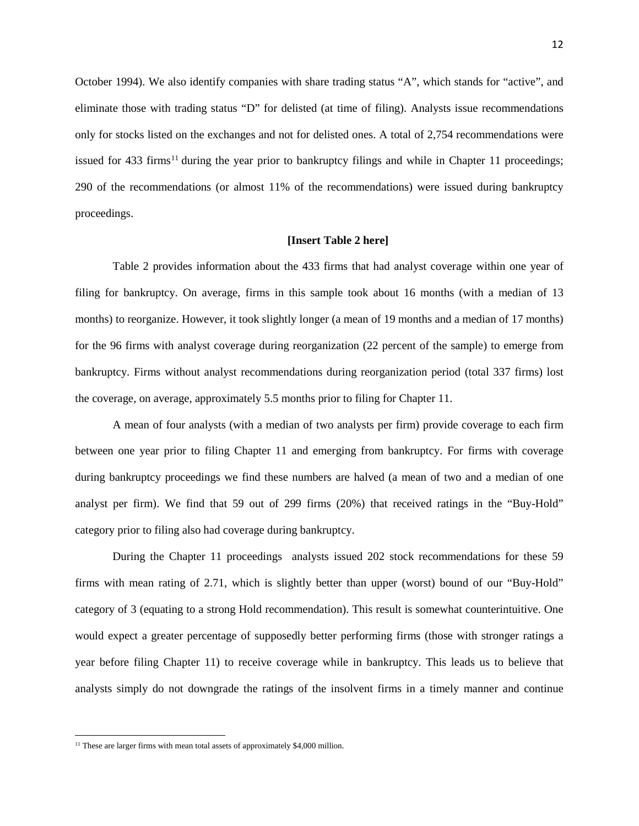October 1994). We also identify companies with share trading status "A", which stands for "active", and eliminate those with trading status "D" for delisted (at time of filing). Analysts issue recommendations only for stocks listed on the exchanges and not for delisted ones. A total of 2,754 recommendations were issued for 433 firms<sup>[11](#page-12-0)</sup> during the year prior to bankruptcy filings and while in Chapter 11 proceedings; 290 of the recommendations (or almost 11% of the recommendations) were issued during bankruptcy proceedings.

#### **[Insert Table 2 here]**

Table 2 provides information about the 433 firms that had analyst coverage within one year of filing for bankruptcy. On average, firms in this sample took about 16 months (with a median of 13 months) to reorganize. However, it took slightly longer (a mean of 19 months and a median of 17 months) for the 96 firms with analyst coverage during reorganization (22 percent of the sample) to emerge from bankruptcy. Firms without analyst recommendations during reorganization period (total 337 firms) lost the coverage, on average, approximately 5.5 months prior to filing for Chapter 11.

A mean of four analysts (with a median of two analysts per firm) provide coverage to each firm between one year prior to filing Chapter 11 and emerging from bankruptcy. For firms with coverage during bankruptcy proceedings we find these numbers are halved (a mean of two and a median of one analyst per firm). We find that 59 out of 299 firms (20%) that received ratings in the "Buy-Hold" category prior to filing also had coverage during bankruptcy.

During the Chapter 11 proceedings analysts issued 202 stock recommendations for these 59 firms with mean rating of 2.71, which is slightly better than upper (worst) bound of our "Buy-Hold" category of 3 (equating to a strong Hold recommendation). This result is somewhat counterintuitive. One would expect a greater percentage of supposedly better performing firms (those with stronger ratings a year before filing Chapter 11) to receive coverage while in bankruptcy. This leads us to believe that analysts simply do not downgrade the ratings of the insolvent firms in a timely manner and continue

<span id="page-12-0"></span><sup>&</sup>lt;sup>11</sup> These are larger firms with mean total assets of approximately \$4,000 million.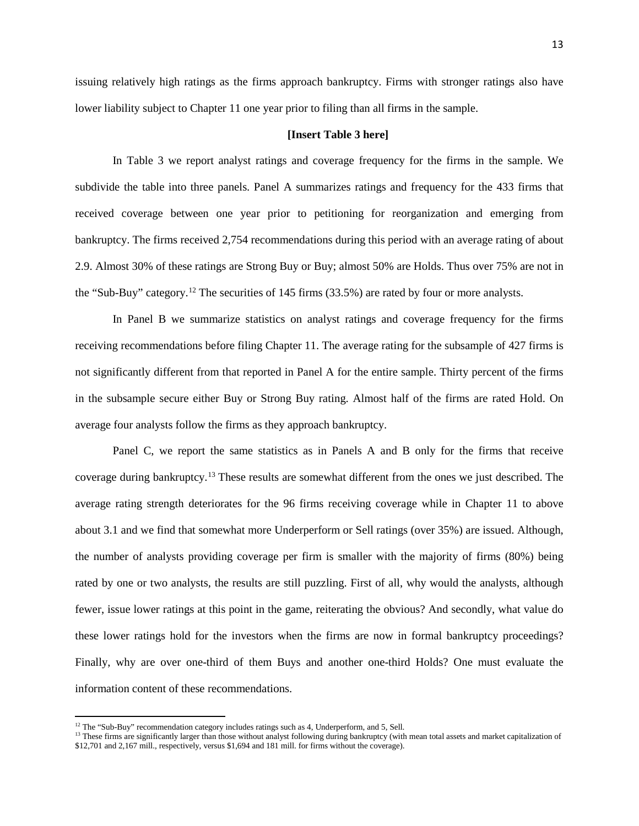issuing relatively high ratings as the firms approach bankruptcy. Firms with stronger ratings also have lower liability subject to Chapter 11 one year prior to filing than all firms in the sample.

#### **[Insert Table 3 here]**

In Table 3 we report analyst ratings and coverage frequency for the firms in the sample. We subdivide the table into three panels. Panel A summarizes ratings and frequency for the 433 firms that received coverage between one year prior to petitioning for reorganization and emerging from bankruptcy. The firms received 2,754 recommendations during this period with an average rating of about 2.9. Almost 30% of these ratings are Strong Buy or Buy; almost 50% are Holds. Thus over 75% are not in the "Sub-Buy" category.[12](#page-13-0) The securities of 145 firms (33.5%) are rated by four or more analysts.

In Panel B we summarize statistics on analyst ratings and coverage frequency for the firms receiving recommendations before filing Chapter 11. The average rating for the subsample of 427 firms is not significantly different from that reported in Panel A for the entire sample. Thirty percent of the firms in the subsample secure either Buy or Strong Buy rating. Almost half of the firms are rated Hold. On average four analysts follow the firms as they approach bankruptcy.

Panel C, we report the same statistics as in Panels A and B only for the firms that receive coverage during bankruptcy.<sup>[13](#page-13-1)</sup> These results are somewhat different from the ones we just described. The average rating strength deteriorates for the 96 firms receiving coverage while in Chapter 11 to above about 3.1 and we find that somewhat more Underperform or Sell ratings (over 35%) are issued. Although, the number of analysts providing coverage per firm is smaller with the majority of firms (80%) being rated by one or two analysts, the results are still puzzling. First of all, why would the analysts, although fewer, issue lower ratings at this point in the game, reiterating the obvious? And secondly, what value do these lower ratings hold for the investors when the firms are now in formal bankruptcy proceedings? Finally, why are over one-third of them Buys and another one-third Holds? One must evaluate the information content of these recommendations.

<span id="page-13-1"></span><span id="page-13-0"></span> $^{12}$  The "Sub-Buy" recommendation category includes ratings such as 4, Underperform, and 5, Sell.<br><sup>13</sup> These firms are significantly larger than those without analyst following during bankruptcy (with mean total assets \$12,701 and 2,167 mill., respectively, versus \$1,694 and 181 mill. for firms without the coverage).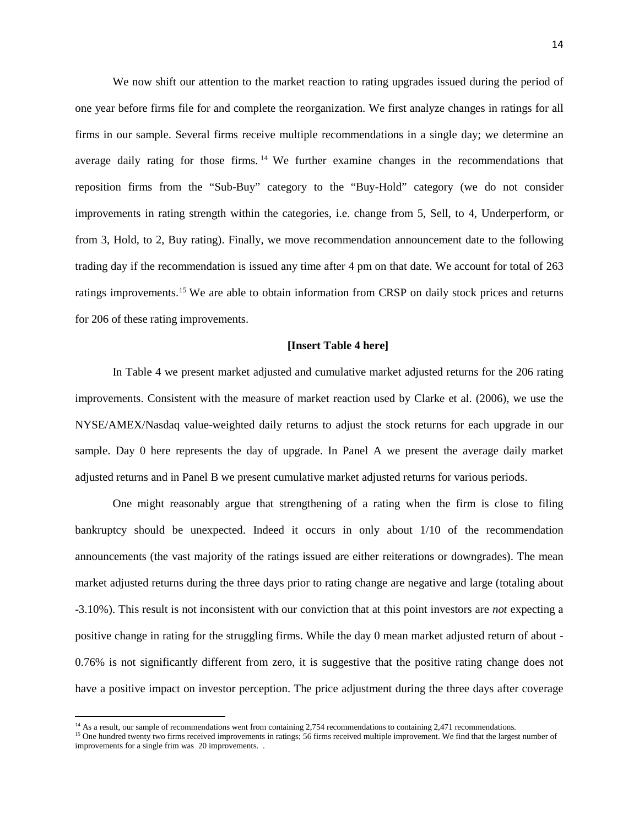We now shift our attention to the market reaction to rating upgrades issued during the period of one year before firms file for and complete the reorganization. We first analyze changes in ratings for all firms in our sample. Several firms receive multiple recommendations in a single day; we determine an average daily rating for those firms. <sup>[14](#page-14-0)</sup> We further examine changes in the recommendations that reposition firms from the "Sub-Buy" category to the "Buy-Hold" category (we do not consider improvements in rating strength within the categories, i.e. change from 5, Sell, to 4, Underperform, or from 3, Hold, to 2, Buy rating). Finally, we move recommendation announcement date to the following trading day if the recommendation is issued any time after 4 pm on that date. We account for total of 263 ratings improvements.[15](#page-14-1) We are able to obtain information from CRSP on daily stock prices and returns for 206 of these rating improvements.

#### **[Insert Table 4 here]**

In Table 4 we present market adjusted and cumulative market adjusted returns for the 206 rating improvements. Consistent with the measure of market reaction used by Clarke et al. (2006), we use the NYSE/AMEX/Nasdaq value-weighted daily returns to adjust the stock returns for each upgrade in our sample. Day 0 here represents the day of upgrade. In Panel A we present the average daily market adjusted returns and in Panel B we present cumulative market adjusted returns for various periods.

One might reasonably argue that strengthening of a rating when the firm is close to filing bankruptcy should be unexpected. Indeed it occurs in only about 1/10 of the recommendation announcements (the vast majority of the ratings issued are either reiterations or downgrades). The mean market adjusted returns during the three days prior to rating change are negative and large (totaling about -3.10%). This result is not inconsistent with our conviction that at this point investors are *not* expecting a positive change in rating for the struggling firms. While the day 0 mean market adjusted return of about - 0.76% is not significantly different from zero, it is suggestive that the positive rating change does not have a positive impact on investor perception. The price adjustment during the three days after coverage

<span id="page-14-1"></span><span id="page-14-0"></span><sup>&</sup>lt;sup>14</sup> As a result, our sample of recommendations went from containing 2,754 recommendations to containing 2,471 recommendations.<br><sup>15</sup> One hundred twenty two firms received improvements in ratings; 56 firms received multipl improvements for a single frim was 20 improvements. .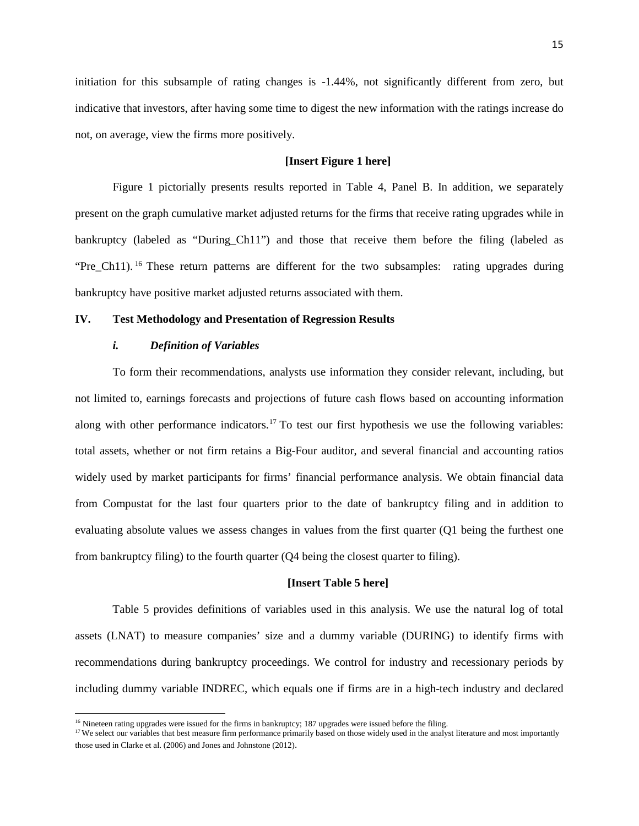initiation for this subsample of rating changes is -1.44%, not significantly different from zero, but indicative that investors, after having some time to digest the new information with the ratings increase do not, on average, view the firms more positively.

## **[Insert Figure 1 here]**

Figure 1 pictorially presents results reported in Table 4, Panel B. In addition, we separately present on the graph cumulative market adjusted returns for the firms that receive rating upgrades while in bankruptcy (labeled as "During\_Ch11") and those that receive them before the filing (labeled as "Pre Ch11). <sup>[16](#page-15-0)</sup> These return patterns are different for the two subsamples: rating upgrades during bankruptcy have positive market adjusted returns associated with them.

#### **IV. Test Methodology and Presentation of Regression Results**

### *i. Definition of Variables*

 $\overline{a}$ 

To form their recommendations, analysts use information they consider relevant, including, but not limited to, earnings forecasts and projections of future cash flows based on accounting information along with other performance indicators.<sup>[17](#page-15-1)</sup> To test our first hypothesis we use the following variables: total assets, whether or not firm retains a Big-Four auditor, and several financial and accounting ratios widely used by market participants for firms' financial performance analysis. We obtain financial data from Compustat for the last four quarters prior to the date of bankruptcy filing and in addition to evaluating absolute values we assess changes in values from the first quarter (Q1 being the furthest one from bankruptcy filing) to the fourth quarter (Q4 being the closest quarter to filing).

#### **[Insert Table 5 here]**

Table 5 provides definitions of variables used in this analysis. We use the natural log of total assets (LNAT) to measure companies' size and a dummy variable (DURING) to identify firms with recommendations during bankruptcy proceedings. We control for industry and recessionary periods by including dummy variable INDREC, which equals one if firms are in a high-tech industry and declared

<sup>&</sup>lt;sup>16</sup> Nineteen rating upgrades were issued for the firms in bankruptcy; 187 upgrades were issued before the filing.

<span id="page-15-1"></span><span id="page-15-0"></span><sup>&</sup>lt;sup>17</sup> We select our variables that best measure firm performance primarily based on those widely used in the analyst literature and most importantly those used in Clarke et al. (2006) and Jones and Johnstone (2012).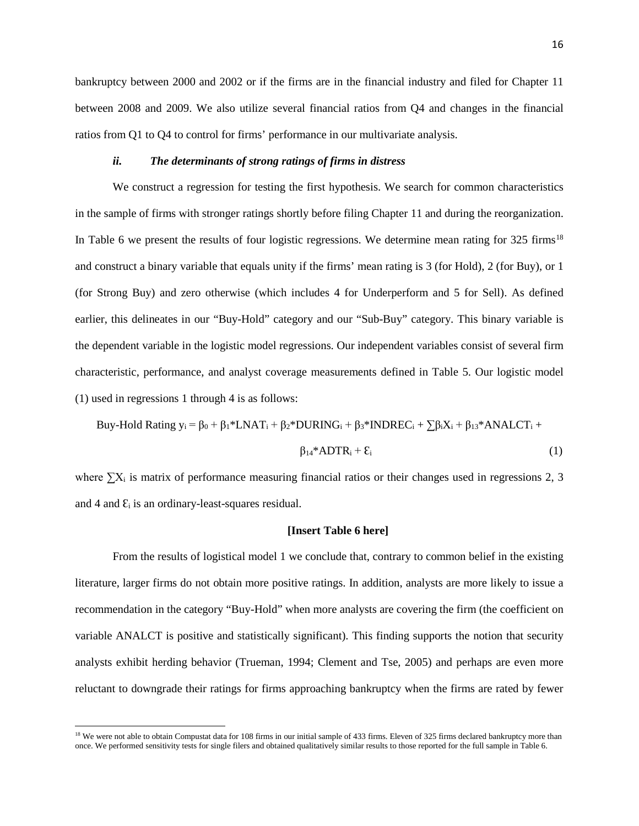bankruptcy between 2000 and 2002 or if the firms are in the financial industry and filed for Chapter 11 between 2008 and 2009. We also utilize several financial ratios from Q4 and changes in the financial ratios from Q1 to Q4 to control for firms' performance in our multivariate analysis.

## *ii. The determinants of strong ratings of firms in distress*

We construct a regression for testing the first hypothesis. We search for common characteristics in the sample of firms with stronger ratings shortly before filing Chapter 11 and during the reorganization. In Table 6 we present the results of four logistic regressions. We determine mean rating for  $325 \text{ firms}^{18}$  $325 \text{ firms}^{18}$  $325 \text{ firms}^{18}$ and construct a binary variable that equals unity if the firms' mean rating is 3 (for Hold), 2 (for Buy), or 1 (for Strong Buy) and zero otherwise (which includes 4 for Underperform and 5 for Sell). As defined earlier, this delineates in our "Buy-Hold" category and our "Sub-Buy" category. This binary variable is the dependent variable in the logistic model regressions. Our independent variables consist of several firm characteristic, performance, and analyst coverage measurements defined in Table 5. Our logistic model (1) used in regressions 1 through 4 is as follows:

$$
Buy-Hold Rating y_i = \beta_0 + \beta_1 * LNAT_i + \beta_2 * DURING_i + \beta_3 * INDREC_i + \sum \beta_i X_i + \beta_{13} * ANALCT_i +
$$

$$
\beta_{14} * ADTR_i + \varepsilon_i \tag{1}
$$

where  $\sum X_i$  is matrix of performance measuring financial ratios or their changes used in regressions 2, 3 and 4 and  $\mathcal{E}_i$  is an ordinary-least-squares residual.

#### **[Insert Table 6 here]**

From the results of logistical model 1 we conclude that, contrary to common belief in the existing literature, larger firms do not obtain more positive ratings. In addition, analysts are more likely to issue a recommendation in the category "Buy-Hold" when more analysts are covering the firm (the coefficient on variable ANALCT is positive and statistically significant). This finding supports the notion that security analysts exhibit herding behavior (Trueman, 1994; Clement and Tse, 2005) and perhaps are even more reluctant to downgrade their ratings for firms approaching bankruptcy when the firms are rated by fewer

 $\overline{\phantom{a}}$ 

<span id="page-16-0"></span><sup>&</sup>lt;sup>18</sup> We were not able to obtain Compustat data for 108 firms in our initial sample of 433 firms. Eleven of 325 firms declared bankruptcy more than once. We performed sensitivity tests for single filers and obtained qualitatively similar results to those reported for the full sample in Table 6.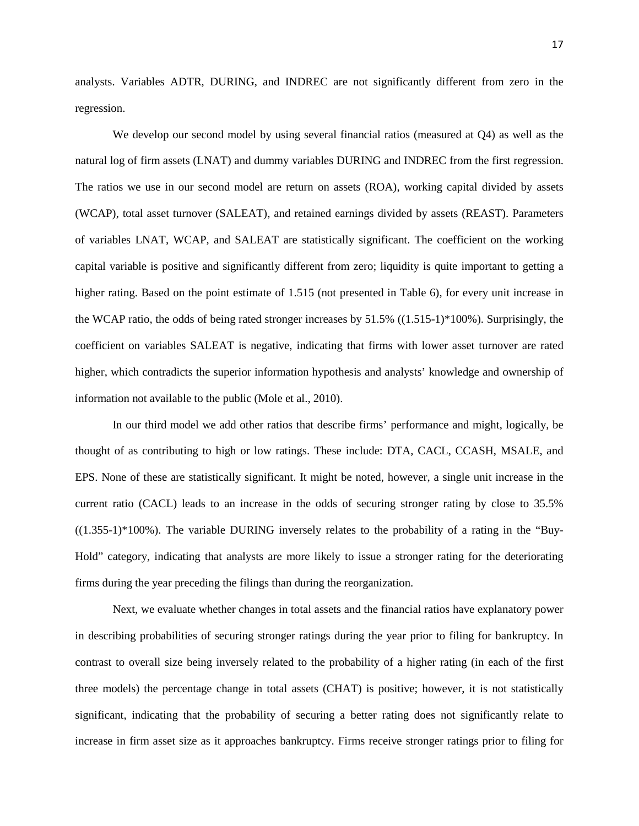analysts. Variables ADTR, DURING, and INDREC are not significantly different from zero in the regression.

We develop our second model by using several financial ratios (measured at Q4) as well as the natural log of firm assets (LNAT) and dummy variables DURING and INDREC from the first regression. The ratios we use in our second model are return on assets (ROA), working capital divided by assets (WCAP), total asset turnover (SALEAT), and retained earnings divided by assets (REAST). Parameters of variables LNAT, WCAP, and SALEAT are statistically significant. The coefficient on the working capital variable is positive and significantly different from zero; liquidity is quite important to getting a higher rating. Based on the point estimate of 1.515 (not presented in Table 6), for every unit increase in the WCAP ratio, the odds of being rated stronger increases by  $51.5\%$  ((1.515-1)\*100%). Surprisingly, the coefficient on variables SALEAT is negative, indicating that firms with lower asset turnover are rated higher, which contradicts the superior information hypothesis and analysts' knowledge and ownership of information not available to the public (Mole et al., 2010).

In our third model we add other ratios that describe firms' performance and might, logically, be thought of as contributing to high or low ratings. These include: DTA, CACL, CCASH, MSALE, and EPS. None of these are statistically significant. It might be noted, however, a single unit increase in the current ratio (CACL) leads to an increase in the odds of securing stronger rating by close to 35.5%  $((1.355-1)*100%)$ . The variable DURING inversely relates to the probability of a rating in the "Buy-Hold" category, indicating that analysts are more likely to issue a stronger rating for the deteriorating firms during the year preceding the filings than during the reorganization.

Next, we evaluate whether changes in total assets and the financial ratios have explanatory power in describing probabilities of securing stronger ratings during the year prior to filing for bankruptcy. In contrast to overall size being inversely related to the probability of a higher rating (in each of the first three models) the percentage change in total assets (CHAT) is positive; however, it is not statistically significant, indicating that the probability of securing a better rating does not significantly relate to increase in firm asset size as it approaches bankruptcy. Firms receive stronger ratings prior to filing for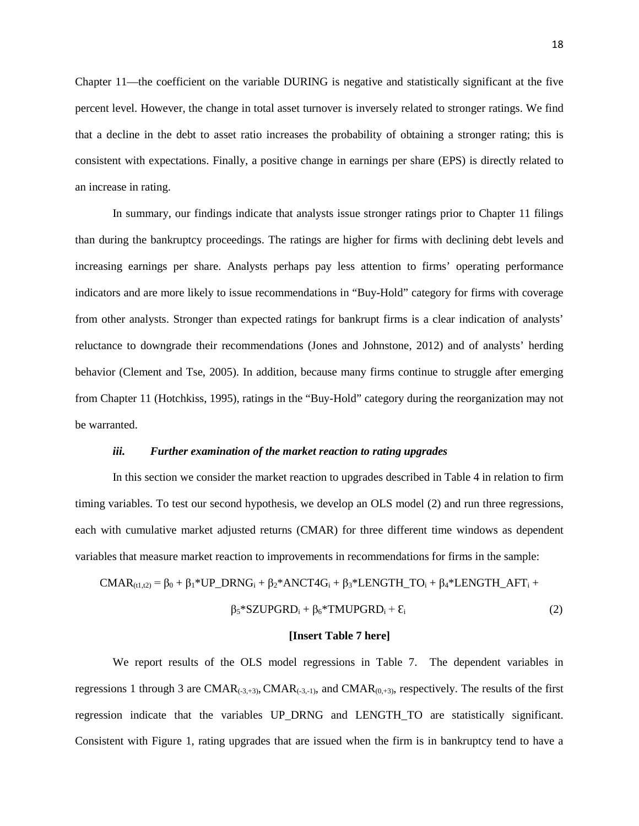Chapter 11—the coefficient on the variable DURING is negative and statistically significant at the five percent level. However, the change in total asset turnover is inversely related to stronger ratings. We find that a decline in the debt to asset ratio increases the probability of obtaining a stronger rating; this is consistent with expectations. Finally, a positive change in earnings per share (EPS) is directly related to an increase in rating.

In summary, our findings indicate that analysts issue stronger ratings prior to Chapter 11 filings than during the bankruptcy proceedings. The ratings are higher for firms with declining debt levels and increasing earnings per share. Analysts perhaps pay less attention to firms' operating performance indicators and are more likely to issue recommendations in "Buy-Hold" category for firms with coverage from other analysts. Stronger than expected ratings for bankrupt firms is a clear indication of analysts' reluctance to downgrade their recommendations (Jones and Johnstone, 2012) and of analysts' herding behavior (Clement and Tse, 2005). In addition, because many firms continue to struggle after emerging from Chapter 11 (Hotchkiss, 1995), ratings in the "Buy-Hold" category during the reorganization may not be warranted.

#### *iii. Further examination of the market reaction to rating upgrades*

In this section we consider the market reaction to upgrades described in Table 4 in relation to firm timing variables. To test our second hypothesis, we develop an OLS model (2) and run three regressions, each with cumulative market adjusted returns (CMAR) for three different time windows as dependent variables that measure market reaction to improvements in recommendations for firms in the sample:

$$
CMAR_{(t1,t2)} = \beta_0 + \beta_1*UP\_DRNG_i + \beta_2*ANCT4G_i + \beta_3*LENGTH\_TO_i + \beta_4*LENGTH\_AFT_i +
$$

$$
\beta_5 * SZUPGRD_i + \beta_6 * TMUPGRD_i + \varepsilon_i \tag{2}
$$

#### **[Insert Table 7 here]**

We report results of the OLS model regressions in Table 7. The dependent variables in regressions 1 through 3 are CMAR $_{(-3,-3)}$ , CMAR $_{(-3,-1)}$ , and CMAR $_{(0,+3)}$ , respectively. The results of the first regression indicate that the variables UP\_DRNG and LENGTH\_TO are statistically significant. Consistent with Figure 1, rating upgrades that are issued when the firm is in bankruptcy tend to have a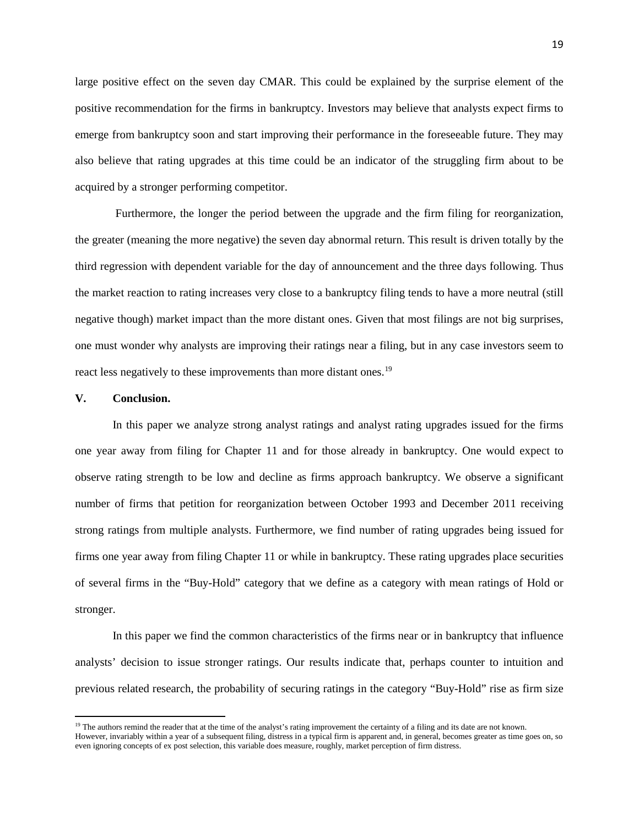large positive effect on the seven day CMAR. This could be explained by the surprise element of the positive recommendation for the firms in bankruptcy. Investors may believe that analysts expect firms to emerge from bankruptcy soon and start improving their performance in the foreseeable future. They may also believe that rating upgrades at this time could be an indicator of the struggling firm about to be acquired by a stronger performing competitor.

Furthermore, the longer the period between the upgrade and the firm filing for reorganization, the greater (meaning the more negative) the seven day abnormal return. This result is driven totally by the third regression with dependent variable for the day of announcement and the three days following. Thus the market reaction to rating increases very close to a bankruptcy filing tends to have a more neutral (still negative though) market impact than the more distant ones. Given that most filings are not big surprises, one must wonder why analysts are improving their ratings near a filing, but in any case investors seem to react less negatively to these improvements than more distant ones.<sup>19</sup>

## **V. Conclusion.**

 $\overline{a}$ 

In this paper we analyze strong analyst ratings and analyst rating upgrades issued for the firms one year away from filing for Chapter 11 and for those already in bankruptcy. One would expect to observe rating strength to be low and decline as firms approach bankruptcy. We observe a significant number of firms that petition for reorganization between October 1993 and December 2011 receiving strong ratings from multiple analysts. Furthermore, we find number of rating upgrades being issued for firms one year away from filing Chapter 11 or while in bankruptcy. These rating upgrades place securities of several firms in the "Buy-Hold" category that we define as a category with mean ratings of Hold or stronger.

In this paper we find the common characteristics of the firms near or in bankruptcy that influence analysts' decision to issue stronger ratings. Our results indicate that, perhaps counter to intuition and previous related research, the probability of securing ratings in the category "Buy-Hold" rise as firm size

<sup>&</sup>lt;sup>19</sup> The authors remind the reader that at the time of the analyst's rating improvement the certainty of a filing and its date are not known.

<span id="page-19-0"></span>However, invariably within a year of a subsequent filing, distress in a typical firm is apparent and, in general, becomes greater as time goes on, so even ignoring concepts of ex post selection, this variable does measure, roughly, market perception of firm distress.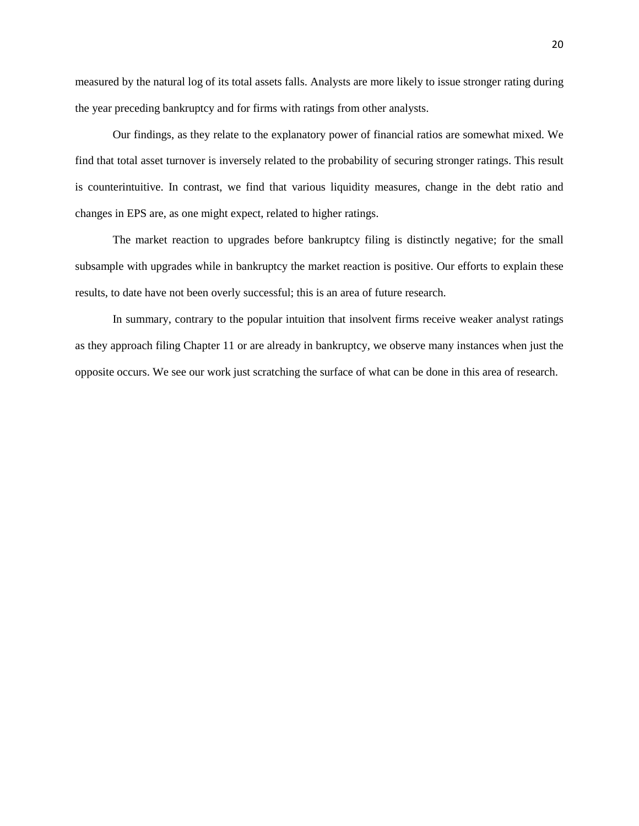measured by the natural log of its total assets falls. Analysts are more likely to issue stronger rating during the year preceding bankruptcy and for firms with ratings from other analysts.

Our findings, as they relate to the explanatory power of financial ratios are somewhat mixed. We find that total asset turnover is inversely related to the probability of securing stronger ratings. This result is counterintuitive. In contrast, we find that various liquidity measures, change in the debt ratio and changes in EPS are, as one might expect, related to higher ratings.

The market reaction to upgrades before bankruptcy filing is distinctly negative; for the small subsample with upgrades while in bankruptcy the market reaction is positive. Our efforts to explain these results, to date have not been overly successful; this is an area of future research.

In summary, contrary to the popular intuition that insolvent firms receive weaker analyst ratings as they approach filing Chapter 11 or are already in bankruptcy, we observe many instances when just the opposite occurs. We see our work just scratching the surface of what can be done in this area of research.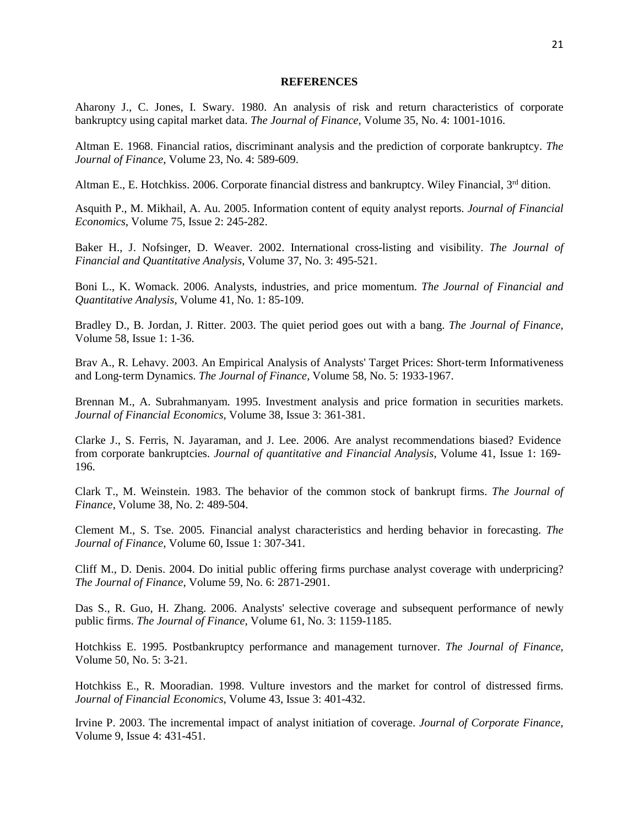#### **REFERENCES**

Aharony J., C. Jones, I. Swary. 1980. [An analysis of risk and return characteristics of corporate](http://www.jstor.org/stable/10.2307/2327216)  [bankruptcy using capital market data.](http://www.jstor.org/stable/10.2307/2327216) *The Journal of Finance*, Volume 35, No. 4: 1001-1016.

Altman E. 1968. [Financial ratios, discriminant analysis and the prediction of corporate bankruptcy.](http://www.jstor.org/stable/10.2307/2978933) *The Journal of Finance*, Volume 23, No. 4: 589-609.

Altman E., E. Hotchkiss. 2006. Corporate financial distress and bankruptcy. Wiley Financial,  $3<sup>rd</sup>$  dition.

Asquith P., M. Mikhail, A. Au. 2005. [Information content of equity analyst reports.](http://www.sciencedirect.com/science/article/pii/S0304405X04001369) *Journal of Financial Economics*, Volume 75, Issue 2: 245-282.

Baker H., J. Nofsinger, D. Weaver. 2002. [International cross-listing and visibility.](http://journals.cambridge.org/production/action/cjoGetFulltext?fulltextid=4194724) *The Journal of Financial and Quantitative Analysis*, Volume 37, No. 3: 495-521.

Boni L., K. Womack. 2006. [Analysts, industries, and price momentum.](http://journals.cambridge.org/production/action/cjoGetFulltext?fulltextid=4202916) *The Journal of Financial and Quantitative Analysis*, Volume 41, No. 1: 85-109.

Bradley D., B. Jordan, J. Ritter. 2003. [The quiet period goes out with a bang.](http://onlinelibrary.wiley.com/doi/10.1111/1540-6261.00517/abstract) *The Journal of Finance*, Volume 58, Issue 1: 1-36.

Brav A., R. Lehavy. 2003. [An Empirical Analysis of Analysts' Target Prices: Short](http://onlinelibrary.wiley.com/doi/10.1111/1540-6261.00593/abstract)‐term Informativeness and Long‐[term Dynamics.](http://onlinelibrary.wiley.com/doi/10.1111/1540-6261.00593/abstract) *The Journal of Finance*, Volume 58, No. 5: 1933-1967.

Brennan M., A. Subrahmanyam. 1995. [Investment analysis and price formation in securities markets.](http://www.sciencedirect.com/science/article/pii/0304405X9400811E) *Journal of Financial Economics*, Volume 38, Issue 3: 361-381.

Clarke J., S. Ferris, N. Jayaraman, and J. Lee. 2006. [Are analyst recommendations biased? Evidence](http://journals.cambridge.org/abstract_S0022109000002465)  [from corporate bankruptcies.](http://journals.cambridge.org/abstract_S0022109000002465) *Journal of quantitative and Financial Analysis*, Volume 41, Issue 1: 169- 196.

Clark T., M. Weinstein. 1983. [The behavior of the common stock of bankrupt firms.](http://www.jstor.org/stable/10.2307/2327984) *The Journal of Finance*, Volume 38, No. 2: 489-504.

Clement M., S. Tse. 2005. Financial analyst characteristics and herding behavior in forecasting. *The Journal of Finance*, Volume 60, Issue 1: 307-341.

Cliff M., D. Denis. 2004. Do initial public offering firms [purchase analyst coverage with underpricing?](http://onlinelibrary.wiley.com/doi/10.1111/j.1540-6261.2004.00719.x/full) *The Journal of Finance*, Volume 59, No. 6: 2871-2901.

Das S., R. Guo, H. Zhang. 2006. [Analysts' selective coverage and subsequent performance of newly](http://onlinelibrary.wiley.com/doi/10.1111/j.1540-6261.2006.00869.x/full)  [public firms.](http://onlinelibrary.wiley.com/doi/10.1111/j.1540-6261.2006.00869.x/full) *The Journal of Finance*, Volume 61, No. 3: 1159-1185.

Hotchkiss E. 1995. Postbankruptcy performance and management turnover. *The Journal of Finance*, Volume 50, No. 5: 3-21.

Hotchkiss E., R. Mooradian. 1998. [Vulture investors and the market for control of distressed firms.](http://www.sciencedirect.com/science/article/pii/S0304405X96009002) *Journal of Financial Economics*, Volume 43, Issue 3: 401-432.

Irvine P. 2003. [The incremental impact of analyst initiation of coverage.](http://www.sciencedirect.com/science/article/pii/S0929119902000536) *Journal of Corporate Finance*, Volume 9, Issue 4: 431-451.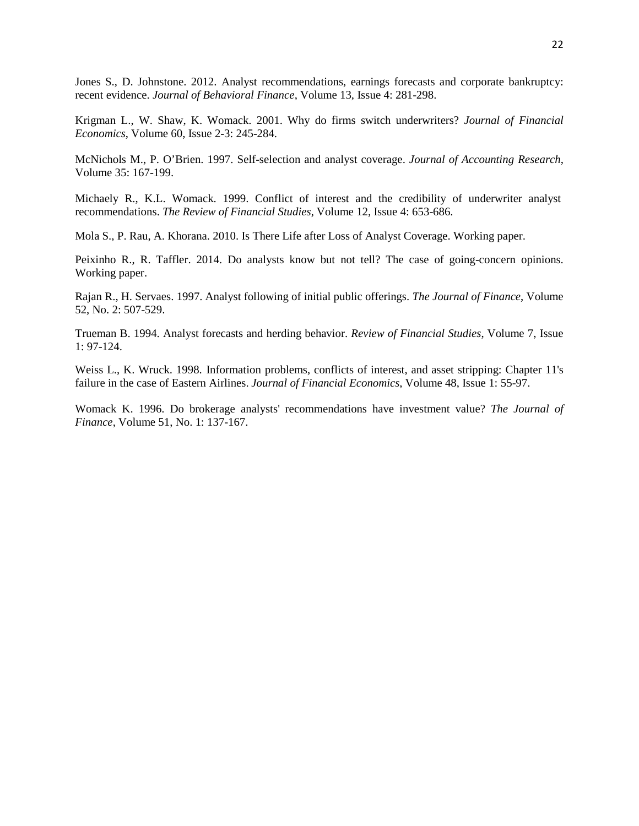Jones S., D. Johnstone. 2012. Analyst recommendations, earnings forecasts and corporate bankruptcy: recent evidence. *Journal of Behavioral Finance*, Volume 13, Issue 4: 281-298.

Krigman L., W. Shaw, K. Womack. 2001. [Why do firms switch underwriters?](http://www.sciencedirect.com/science/article/pii/S0304405X01000459) *Journal of Financial Economics*, Volume 60, Issue 2-3: 245-284.

McNichols M., P. O'Brien. 1997. [Self-selection and analyst coverage.](http://www.jstor.org/stable/10.2307/2491460) *Journal of Accounting Research*, Volume 35: 167-199.

Michaely R., K.L. Womack. 1999. [Conflict of interest and the credibility of underwriter analyst](http://rfs.oxfordjournals.org/content/12/4/653.short)  [recommendations.](http://rfs.oxfordjournals.org/content/12/4/653.short) *The Review of Financial Studies*, [Volume 12, Issue 4:](http://rfs.oxfordjournals.org/content/12/4.toc) 653-686.

Mola S., P. Rau, A. Khorana. 2010. [Is There Life after Loss of Analyst Coverage.](http://papers.ssrn.com/sol3/papers.cfm?abstract_id=1573309) Working paper.

Peixinho R., R. Taffler. 2014. Do analysts know but not tell? The case of going-concern opinions. Working paper.

Rajan R., H. Servaes. 1997. [Analyst following of initial public offerings.](http://www.jstor.org/stable/10.2307/2329488) *The Journal of Finance*, Volume 52, No. 2: 507-529.

Trueman B. 1994. Analyst forecasts and herding behavior. *Review of Financial Studies*, Volume 7, Issue 1: 97-124.

Weiss L., K. Wruck. 1998. [Information problems, conflicts of interest, and](http://www.sciencedirect.com/science/article/pii/S0304405X9800004X) asset stripping: Chapter 11's [failure in the case of Eastern Airlines.](http://www.sciencedirect.com/science/article/pii/S0304405X9800004X) *Journal of Financial Economics*, Volume 48, Issue 1: 55-97.

Womack K. 1996. [Do brokerage analysts' recommendations have investment value?](http://www.jstor.org/stable/10.2307/2329305) *The Journal of Finance*, Volume 51, No. 1: 137-167.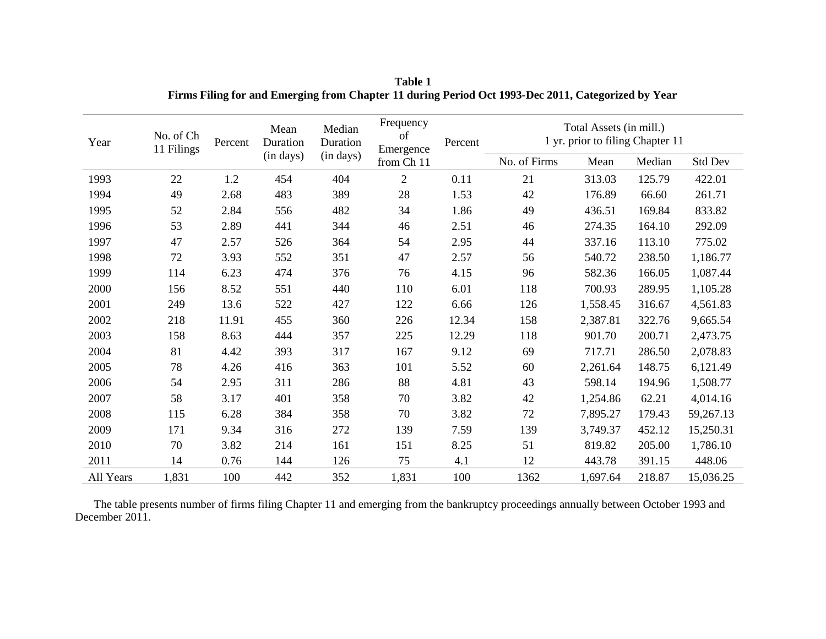| Year      | No. of Ch<br>11 Filings | Percent | Mean<br>Duration | Median<br>Duration | Frequency<br>of<br>Percent<br>Emergence |       |              | Total Assets (in mill.)<br>1 yr. prior to filing Chapter 11 |        |           |
|-----------|-------------------------|---------|------------------|--------------------|-----------------------------------------|-------|--------------|-------------------------------------------------------------|--------|-----------|
|           |                         |         | (in days)        | (in days)          | from Ch 11                              |       | No. of Firms | Mean                                                        | Median | Std Dev   |
| 1993      | 22                      | 1.2     | 454              | 404                | $\overline{2}$                          | 0.11  | 21           | 313.03                                                      | 125.79 | 422.01    |
| 1994      | 49                      | 2.68    | 483              | 389                | 28                                      | 1.53  | 42           | 176.89                                                      | 66.60  | 261.71    |
| 1995      | 52                      | 2.84    | 556              | 482                | 34                                      | 1.86  | 49           | 436.51                                                      | 169.84 | 833.82    |
| 1996      | 53                      | 2.89    | 441              | 344                | 46                                      | 2.51  | 46           | 274.35                                                      | 164.10 | 292.09    |
| 1997      | 47                      | 2.57    | 526              | 364                | 54                                      | 2.95  | 44           | 337.16                                                      | 113.10 | 775.02    |
| 1998      | 72                      | 3.93    | 552              | 351                | 47                                      | 2.57  | 56           | 540.72                                                      | 238.50 | 1,186.77  |
| 1999      | 114                     | 6.23    | 474              | 376                | 76                                      | 4.15  | 96           | 582.36                                                      | 166.05 | 1,087.44  |
| 2000      | 156                     | 8.52    | 551              | 440                | 110                                     | 6.01  | 118          | 700.93                                                      | 289.95 | 1,105.28  |
| 2001      | 249                     | 13.6    | 522              | 427                | 122                                     | 6.66  | 126          | 1,558.45                                                    | 316.67 | 4,561.83  |
| 2002      | 218                     | 11.91   | 455              | 360                | 226                                     | 12.34 | 158          | 2,387.81                                                    | 322.76 | 9,665.54  |
| 2003      | 158                     | 8.63    | 444              | 357                | 225                                     | 12.29 | 118          | 901.70                                                      | 200.71 | 2,473.75  |
| 2004      | 81                      | 4.42    | 393              | 317                | 167                                     | 9.12  | 69           | 717.71                                                      | 286.50 | 2,078.83  |
| 2005      | 78                      | 4.26    | 416              | 363                | 101                                     | 5.52  | 60           | 2,261.64                                                    | 148.75 | 6,121.49  |
| 2006      | 54                      | 2.95    | 311              | 286                | 88                                      | 4.81  | 43           | 598.14                                                      | 194.96 | 1,508.77  |
| 2007      | 58                      | 3.17    | 401              | 358                | 70                                      | 3.82  | 42           | 1,254.86                                                    | 62.21  | 4,014.16  |
| 2008      | 115                     | 6.28    | 384              | 358                | 70                                      | 3.82  | 72           | 7,895.27                                                    | 179.43 | 59,267.13 |
| 2009      | 171                     | 9.34    | 316              | 272                | 139                                     | 7.59  | 139          | 3,749.37                                                    | 452.12 | 15,250.31 |
| 2010      | 70                      | 3.82    | 214              | 161                | 151                                     | 8.25  | 51           | 819.82                                                      | 205.00 | 1,786.10  |
| 2011      | 14                      | 0.76    | 144              | 126                | 75                                      | 4.1   | 12           | 443.78                                                      | 391.15 | 448.06    |
| All Years | 1,831                   | 100     | 442              | 352                | 1,831                                   | 100   | 1362         | 1,697.64                                                    | 218.87 | 15,036.25 |

**Table 1 Firms Filing for and Emerging from Chapter 11 during Period Oct 1993-Dec 2011, Categorized by Year**

The table presents number of firms filing Chapter 11 and emerging from the bankruptcy proceedings annually between October 1993 and December 2011.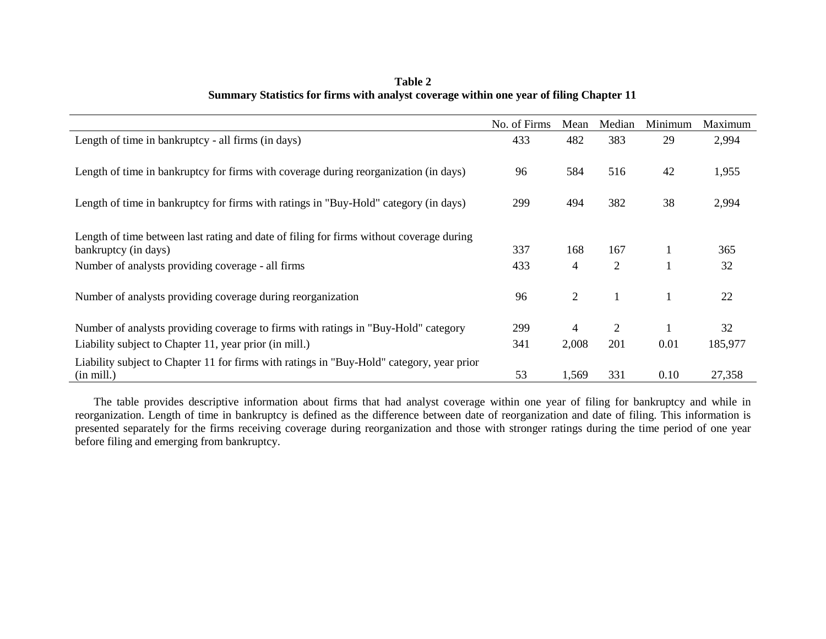|                                                                                           | No. of Firms | Mean           | Median         | Minimum      | Maximum |
|-------------------------------------------------------------------------------------------|--------------|----------------|----------------|--------------|---------|
| Length of time in bankruptcy - all firms (in days)                                        | 433          | 482            | 383            | 29           | 2,994   |
| Length of time in bankruptcy for firms with coverage during reorganization (in days)      | 96           | 584            | 516            | 42           | 1,955   |
| Length of time in bankruptcy for firms with ratings in "Buy-Hold" category (in days)      | 299          | 494            | 382            | 38           | 2,994   |
| Length of time between last rating and date of filing for firms without coverage during   |              |                |                |              |         |
| bankruptcy (in days)                                                                      | 337          | 168            | 167            | $\mathbf{1}$ | 365     |
| Number of analysts providing coverage - all firms                                         | 433          | 4              | 2              | 1            | 32      |
| Number of analysts providing coverage during reorganization                               | 96           | $\overline{2}$ |                | $\mathbf{1}$ | 22      |
| Number of analysts providing coverage to firms with ratings in "Buy-Hold" category        | 299          | 4              | $\overline{2}$ | $\mathbf{1}$ | 32      |
| Liability subject to Chapter 11, year prior (in mill.)                                    | 341          | 2,008          | 201            | 0.01         | 185,977 |
| Liability subject to Chapter 11 for firms with ratings in "Buy-Hold" category, year prior |              |                |                |              |         |
| $(in \text{ mill.})$                                                                      | 53           | 1,569          | 331            | 0.10         | 27,358  |

**Table 2 Summary Statistics for firms with analyst coverage within one year of filing Chapter 11**

The table provides descriptive information about firms that had analyst coverage within one year of filing for bankruptcy and while in reorganization. Length of time in bankruptcy is defined as the difference between date of reorganization and date of filing. This information is presented separately for the firms receiving coverage during reorganization and those with stronger ratings during the time period of one year before filing and emerging from bankruptcy.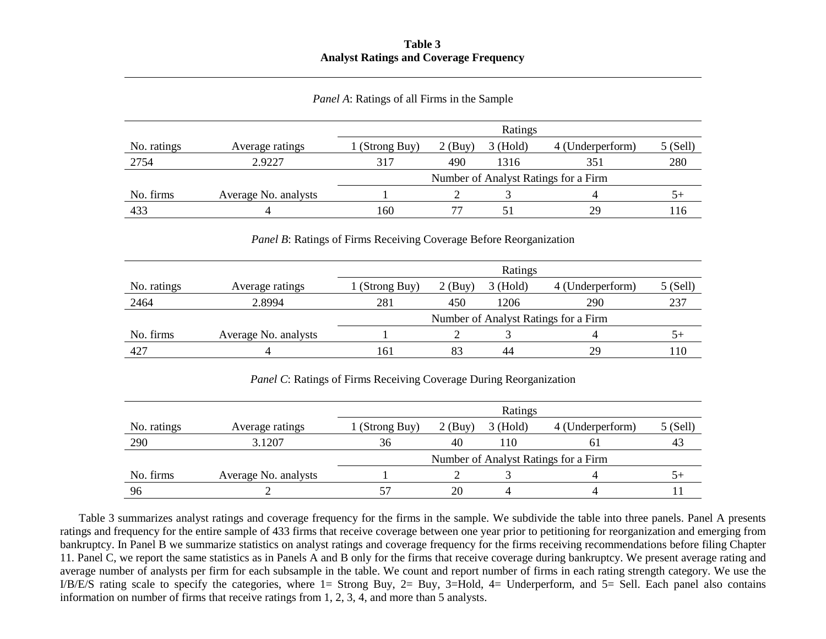## **Table 3 Analyst Ratings and Coverage Frequency**

| Panel A: Ratings of all Firms in the Sample |  |  |  |  |
|---------------------------------------------|--|--|--|--|
|                                             |  |  |  |  |

|             |                      |                                      |           | Ratings    |                  |         |  |
|-------------|----------------------|--------------------------------------|-----------|------------|------------------|---------|--|
| No. ratings | Average ratings      | (Strong Buy)                         | $2$ (Buy) | $3$ (Hold) | 4 (Underperform) | 5(Sell) |  |
| 2754        | 2.9227               | 317                                  | 490       | 1316       | 351              | 280     |  |
|             |                      | Number of Analyst Ratings for a Firm |           |            |                  |         |  |
| No. firms   | Average No. analysts |                                      |           |            |                  |         |  |
| 433         | 4                    | 160                                  |           |            | 29               | 16      |  |

## *Panel B*: Ratings of Firms Receiving Coverage Before Reorganization

|             |                      |                                      |           | Ratings    |                  |                  |  |
|-------------|----------------------|--------------------------------------|-----------|------------|------------------|------------------|--|
| No. ratings | Average ratings      | (Strong Buy)                         | $2$ (Buy) | $3$ (Hold) | 4 (Underperform) | $5$ (Sell)       |  |
| 2464        | 2.8994               | 281                                  | 450       | 1206       | 290              | 237              |  |
|             |                      | Number of Analyst Ratings for a Firm |           |            |                  |                  |  |
| No. firms   | Average No. analysts |                                      |           |            |                  | $.$ <sup>+</sup> |  |
| 427         | 4                    | 161                                  | 83        | 44         | 29               | 10               |  |

*Panel C*: Ratings of Firms Receiving Coverage During Reorganization

|             |                      |                                      |           | Ratings    |                  |            |  |
|-------------|----------------------|--------------------------------------|-----------|------------|------------------|------------|--|
| No. ratings | Average ratings      | l (Strong Buy)                       | $2$ (Buy) | $3$ (Hold) | 4 (Underperform) | $5$ (Sell) |  |
| 290         | 3.1207               | 36                                   | 40        | l 10       | <sub>0</sub>     | 43         |  |
|             |                      | Number of Analyst Ratings for a Firm |           |            |                  |            |  |
| No. firms   | Average No. analysts |                                      |           |            |                  |            |  |
| 96          |                      |                                      | 20        |            |                  |            |  |

Table 3 summarizes analyst ratings and coverage frequency for the firms in the sample. We subdivide the table into three panels. Panel A presents ratings and frequency for the entire sample of 433 firms that receive coverage between one year prior to petitioning for reorganization and emerging from bankruptcy. In Panel B we summarize statistics on analyst ratings and coverage frequency for the firms receiving recommendations before filing Chapter 11. Panel C, we report the same statistics as in Panels A and B only for the firms that receive coverage during bankruptcy. We present average rating and average number of analysts per firm for each subsample in the table. We count and report number of firms in each rating strength category. We use the I/B/E/S rating scale to specify the categories, where 1= Strong Buy, 2= Buy, 3=Hold, 4= Underperform, and 5= Sell. Each panel also contains information on number of firms that receive ratings from 1, 2, 3, 4, and more than 5 analysts.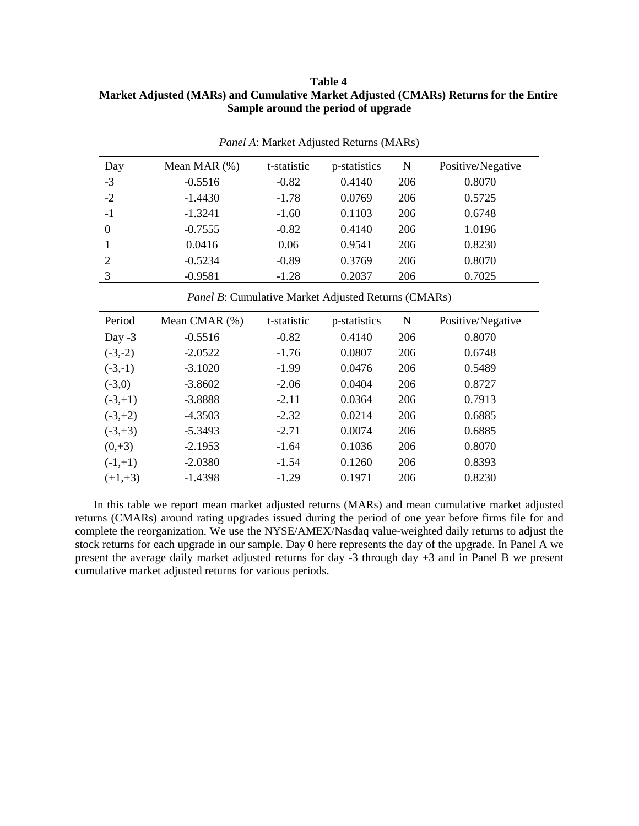| <i>Panel A:</i> Market Adjusted Returns (MARs) |                 |             |              |     |                   |  |  |
|------------------------------------------------|-----------------|-------------|--------------|-----|-------------------|--|--|
| Day                                            | Mean MAR $(\%)$ | t-statistic | p-statistics | N   | Positive/Negative |  |  |
| $-3$                                           | $-0.5516$       | $-0.82$     | 0.4140       | 206 | 0.8070            |  |  |
| $-2$                                           | $-1.4430$       | $-1.78$     | 0.0769       | 206 | 0.5725            |  |  |
| $-1$                                           | $-1.3241$       | $-1.60$     | 0.1103       | 206 | 0.6748            |  |  |
| $\theta$                                       | $-0.7555$       | $-0.82$     | 0.4140       | 206 | 1.0196            |  |  |
|                                                | 0.0416          | 0.06        | 0.9541       | 206 | 0.8230            |  |  |
| 2                                              | $-0.5234$       | $-0.89$     | 0.3769       | 206 | 0.8070            |  |  |
| 3                                              | $-0.9581$       | $-1.28$     | 0.2037       | 206 | 0.7025            |  |  |

**Table 4 Market Adjusted (MARs) and Cumulative Market Adjusted (CMARs) Returns for the Entire Sample around the period of upgrade**

*Panel B*: Cumulative Market Adjusted Returns (CMARs)

| Period     | Mean CMAR (%) | t-statistic | p-statistics | N   | Positive/Negative |
|------------|---------------|-------------|--------------|-----|-------------------|
| Day $-3$   | $-0.5516$     | $-0.82$     | 0.4140       | 206 | 0.8070            |
| $(-3,-2)$  | $-2.0522$     | $-1.76$     | 0.0807       | 206 | 0.6748            |
| $(-3,-1)$  | $-3.1020$     | $-1.99$     | 0.0476       | 206 | 0.5489            |
| $(-3,0)$   | $-3.8602$     | $-2.06$     | 0.0404       | 206 | 0.8727            |
| $(-3, +1)$ | $-3.8888$     | $-2.11$     | 0.0364       | 206 | 0.7913            |
| $(-3, +2)$ | $-4.3503$     | $-2.32$     | 0.0214       | 206 | 0.6885            |
| $(-3, +3)$ | $-5.3493$     | $-2.71$     | 0.0074       | 206 | 0.6885            |
| $(0, +3)$  | $-2.1953$     | $-1.64$     | 0.1036       | 206 | 0.8070            |
| $(-1,+1)$  | $-2.0380$     | $-1.54$     | 0.1260       | 206 | 0.8393            |
| $(+1,+3)$  | $-1.4398$     | $-1.29$     | 0.1971       | 206 | 0.8230            |

In this table we report mean market adjusted returns (MARs) and mean cumulative market adjusted returns (CMARs) around rating upgrades issued during the period of one year before firms file for and complete the reorganization. We use the NYSE/AMEX/Nasdaq value-weighted daily returns to adjust the stock returns for each upgrade in our sample. Day 0 here represents the day of the upgrade. In Panel A we present the average daily market adjusted returns for day -3 through day +3 and in Panel B we present cumulative market adjusted returns for various periods.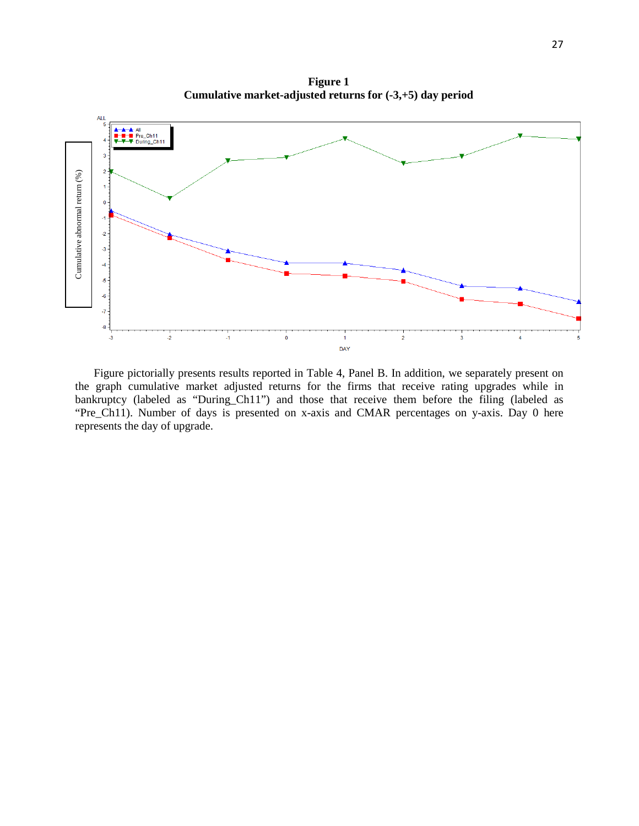**Figure 1 Cumulative market-adjusted returns for (-3,+5) day period**



Figure pictorially presents results reported in Table 4, Panel B. In addition, we separately present on the graph cumulative market adjusted returns for the firms that receive rating upgrades while in bankruptcy (labeled as "During\_Ch11") and those that receive them before the filing (labeled as "Pre\_Ch11). Number of days is presented on x-axis and CMAR percentages on y-axis. Day 0 here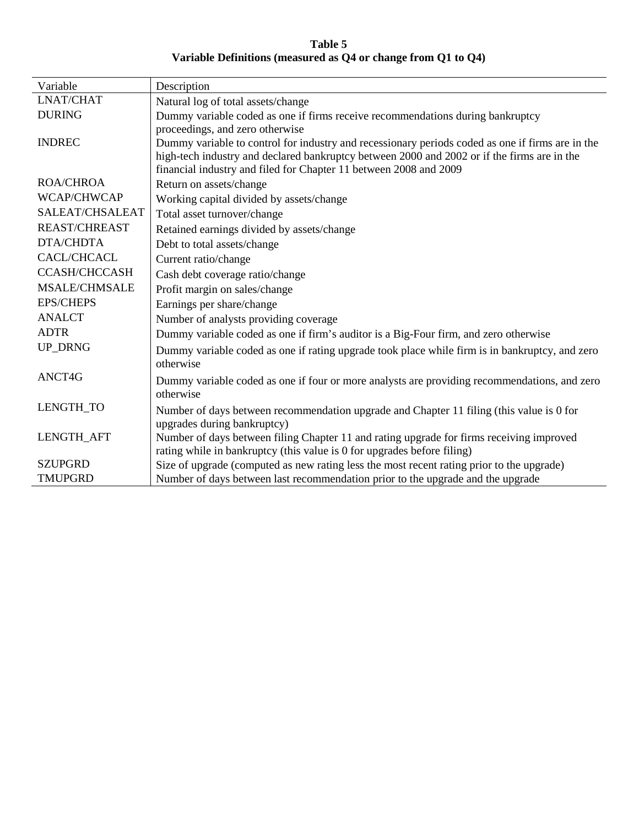**Table 5 Variable Definitions (measured as Q4 or change from Q1 to Q4)**

| Variable             | Description                                                                                      |
|----------------------|--------------------------------------------------------------------------------------------------|
| <b>LNAT/CHAT</b>     | Natural log of total assets/change                                                               |
| <b>DURING</b>        | Dummy variable coded as one if firms receive recommendations during bankruptcy                   |
|                      | proceedings, and zero otherwise                                                                  |
| <b>INDREC</b>        | Dummy variable to control for industry and recessionary periods coded as one if firms are in the |
|                      | high-tech industry and declared bankruptcy between 2000 and 2002 or if the firms are in the      |
|                      | financial industry and filed for Chapter 11 between 2008 and 2009                                |
| <b>ROA/CHROA</b>     | Return on assets/change                                                                          |
| WCAP/CHWCAP          | Working capital divided by assets/change                                                         |
| SALEAT/CHSALEAT      | Total asset turnover/change                                                                      |
| <b>REAST/CHREAST</b> | Retained earnings divided by assets/change                                                       |
| <b>DTA/CHDTA</b>     | Debt to total assets/change                                                                      |
| <b>CACL/CHCACL</b>   | Current ratio/change                                                                             |
| <b>CCASH/CHCCASH</b> | Cash debt coverage ratio/change                                                                  |
| <b>MSALE/CHMSALE</b> | Profit margin on sales/change                                                                    |
| <b>EPS/CHEPS</b>     | Earnings per share/change                                                                        |
| <b>ANALCT</b>        | Number of analysts providing coverage                                                            |
| <b>ADTR</b>          | Dummy variable coded as one if firm's auditor is a Big-Four firm, and zero otherwise             |
| <b>UP_DRNG</b>       | Dummy variable coded as one if rating upgrade took place while firm is in bankruptcy, and zero   |
|                      | otherwise                                                                                        |
| ANCT4G               | Dummy variable coded as one if four or more analysts are providing recommendations, and zero     |
|                      | otherwise                                                                                        |
| LENGTH_TO            | Number of days between recommendation upgrade and Chapter 11 filing (this value is 0 for         |
|                      | upgrades during bankruptcy)                                                                      |
| LENGTH_AFT           | Number of days between filing Chapter 11 and rating upgrade for firms receiving improved         |
|                      | rating while in bankruptcy (this value is 0 for upgrades before filing)                          |
| <b>SZUPGRD</b>       | Size of upgrade (computed as new rating less the most recent rating prior to the upgrade)        |
| <b>TMUPGRD</b>       | Number of days between last recommendation prior to the upgrade and the upgrade                  |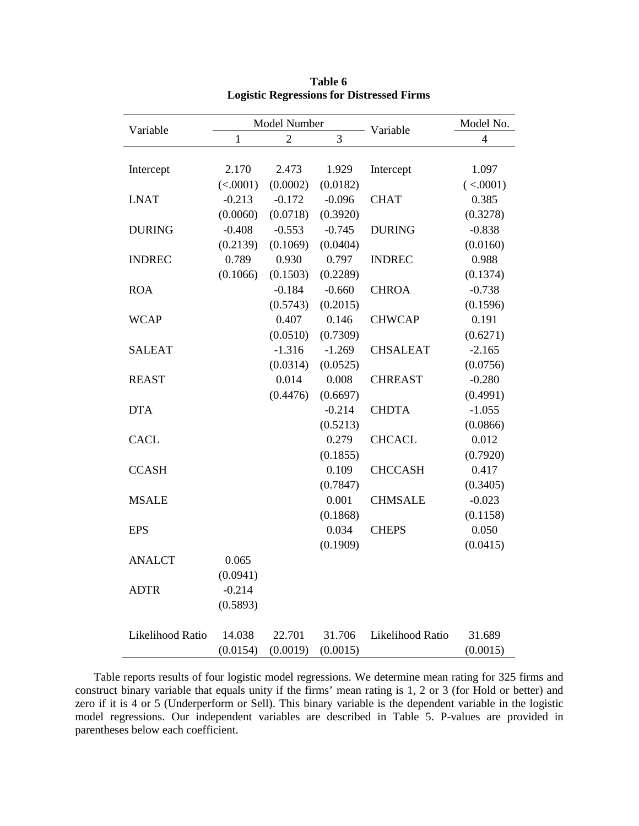| Variable         |              | Model Number   |                | Variable         | Model No.      |
|------------------|--------------|----------------|----------------|------------------|----------------|
|                  | $\mathbf{1}$ | $\overline{c}$ | $\overline{3}$ |                  | $\overline{4}$ |
|                  |              |                |                |                  |                |
| Intercept        | 2.170        | 2.473          | 1.929          | Intercept        | 1.097          |
|                  | (<.0001)     | (0.0002)       | (0.0182)       |                  | (<.0001)       |
| <b>LNAT</b>      | $-0.213$     | $-0.172$       | $-0.096$       | <b>CHAT</b>      | 0.385          |
|                  | (0.0060)     | (0.0718)       | (0.3920)       |                  | (0.3278)       |
| <b>DURING</b>    | $-0.408$     | $-0.553$       | $-0.745$       | <b>DURING</b>    | $-0.838$       |
|                  | (0.2139)     | (0.1069)       | (0.0404)       |                  | (0.0160)       |
| <b>INDREC</b>    | 0.789        | 0.930          | 0.797          | <b>INDREC</b>    | 0.988          |
|                  | (0.1066)     | (0.1503)       | (0.2289)       |                  | (0.1374)       |
| <b>ROA</b>       |              | $-0.184$       | $-0.660$       | <b>CHROA</b>     | $-0.738$       |
|                  |              | (0.5743)       | (0.2015)       |                  | (0.1596)       |
| <b>WCAP</b>      |              | 0.407          | 0.146          | <b>CHWCAP</b>    | 0.191          |
|                  |              | (0.0510)       | (0.7309)       |                  | (0.6271)       |
| <b>SALEAT</b>    |              | $-1.316$       | $-1.269$       | <b>CHSALEAT</b>  | $-2.165$       |
|                  |              | (0.0314)       | (0.0525)       |                  | (0.0756)       |
| <b>REAST</b>     |              | 0.014          | 0.008          | <b>CHREAST</b>   | $-0.280$       |
|                  |              | (0.4476)       | (0.6697)       |                  | (0.4991)       |
| <b>DTA</b>       |              |                | $-0.214$       | <b>CHDTA</b>     | $-1.055$       |
|                  |              |                | (0.5213)       |                  | (0.0866)       |
| <b>CACL</b>      |              |                | 0.279          | <b>CHCACL</b>    | 0.012          |
|                  |              |                | (0.1855)       |                  | (0.7920)       |
| <b>CCASH</b>     |              |                | 0.109          | <b>CHCCASH</b>   | 0.417          |
|                  |              |                | (0.7847)       |                  | (0.3405)       |
| <b>MSALE</b>     |              |                | 0.001          | <b>CHMSALE</b>   | $-0.023$       |
|                  |              |                | (0.1868)       |                  | (0.1158)       |
| <b>EPS</b>       |              |                | 0.034          | <b>CHEPS</b>     | 0.050          |
|                  |              |                | (0.1909)       |                  | (0.0415)       |
| <b>ANALCT</b>    | 0.065        |                |                |                  |                |
|                  | (0.0941)     |                |                |                  |                |
| <b>ADTR</b>      | $-0.214$     |                |                |                  |                |
|                  | (0.5893)     |                |                |                  |                |
|                  |              |                |                |                  |                |
| Likelihood Ratio | 14.038       | 22.701         | 31.706         | Likelihood Ratio | 31.689         |
|                  | (0.0154)     | (0.0019)       | (0.0015)       |                  | (0.0015)       |

**Table 6 Logistic Regressions for Distressed Firms**

Table reports results of four logistic model regressions. We determine mean rating for 325 firms and construct binary variable that equals unity if the firms' mean rating is 1, 2 or 3 (for Hold or better) and zero if it is 4 or 5 (Underperform or Sell). This binary variable is the dependent variable in the logistic model regressions. Our independent variables are described in Table 5. P-values are provided in parentheses below each coefficient.